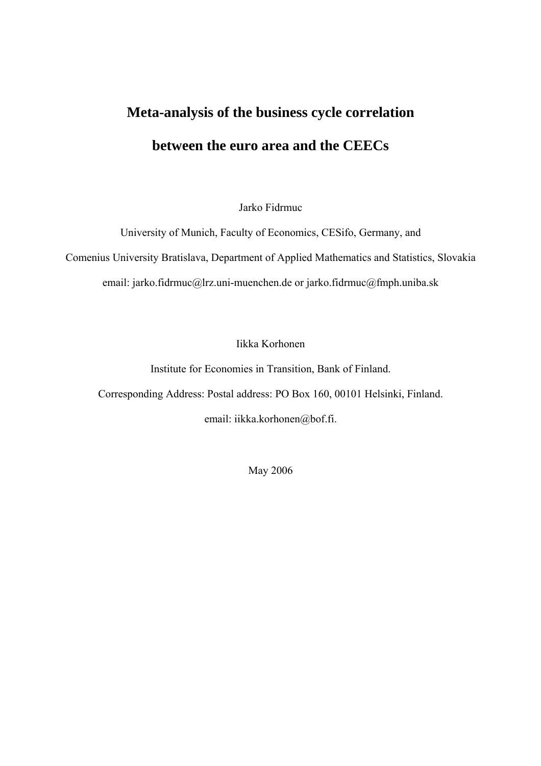# **Meta-analysis of the business cycle correlation between the euro area and the CEECs**

Jarko Fidrmuc

University of Munich, Faculty of Economics, CESifo, Germany, and

Comenius University Bratislava, Department of Applied Mathematics and Statistics, Slovakia

email: jarko.fidrmuc@lrz.uni-muenchen.de or jarko.fidrmuc@fmph.uniba.sk

Iikka Korhonen

Institute for Economies in Transition, Bank of Finland.

Corresponding Address: Postal address: PO Box 160, 00101 Helsinki, Finland.

email: iikka.korhonen@bof.fi.

May 2006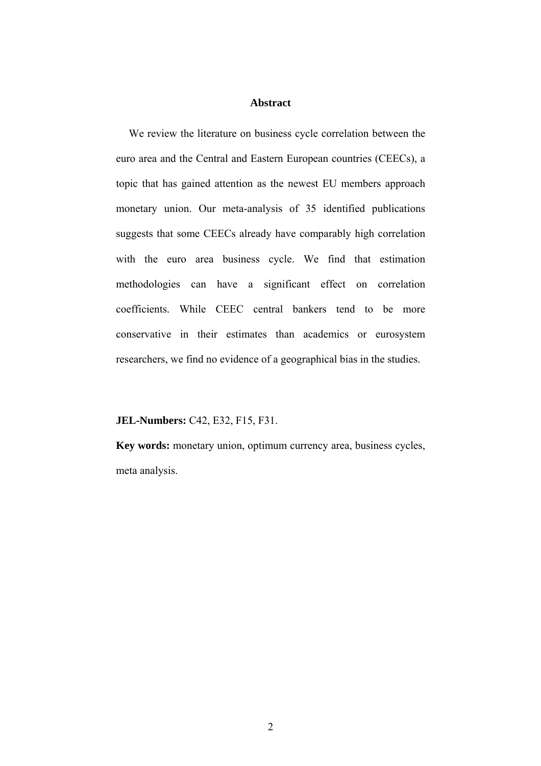#### **Abstract**

We review the literature on business cycle correlation between the euro area and the Central and Eastern European countries (CEECs), a topic that has gained attention as the newest EU members approach monetary union. Our meta-analysis of 35 identified publications suggests that some CEECs already have comparably high correlation with the euro area business cycle. We find that estimation methodologies can have a significant effect on correlation coefficients. While CEEC central bankers tend to be more conservative in their estimates than academics or eurosystem researchers, we find no evidence of a geographical bias in the studies.

## **JEL-Numbers:** C42, E32, F15, F31.

**Key words:** monetary union, optimum currency area, business cycles, meta analysis.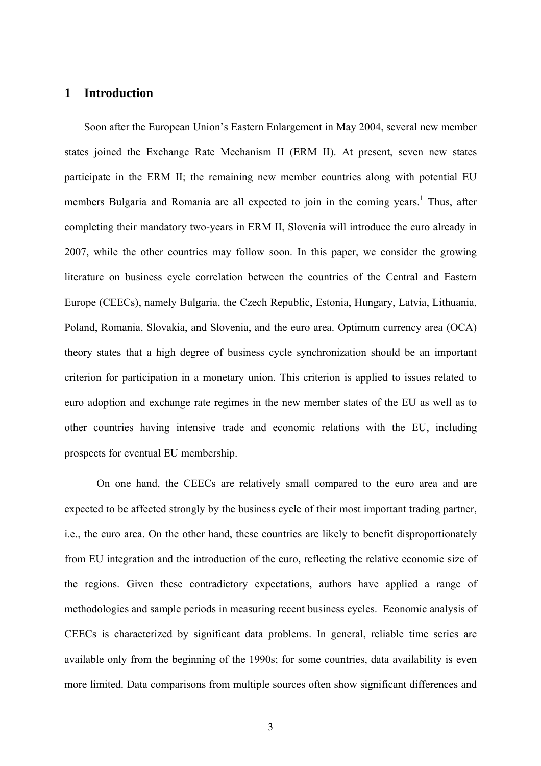## **1 Introduction**

Soon after the European Union's Eastern Enlargement in May 2004, several new member states joined the Exchange Rate Mechanism II (ERM II). At present, seven new states participate in the ERM II; the remaining new member countries along with potential EU members Bulgaria and Romania are all expected to join in the coming years.<sup>1</sup> Thus, after completing their mandatory two-years in ERM II, Slovenia will introduce the euro already in 2007, while the other countries may follow soon. In this paper, we consider the growing literature on business cycle correlation between the countries of the Central and Eastern Europe (CEECs), namely Bulgaria, the Czech Republic, Estonia, Hungary, Latvia, Lithuania, Poland, Romania, Slovakia, and Slovenia, and the euro area. Optimum currency area (OCA) theory states that a high degree of business cycle synchronization should be an important criterion for participation in a monetary union. This criterion is applied to issues related to euro adoption and exchange rate regimes in the new member states of the EU as well as to other countries having intensive trade and economic relations with the EU, including prospects for eventual EU membership.

On one hand, the CEECs are relatively small compared to the euro area and are expected to be affected strongly by the business cycle of their most important trading partner, i.e., the euro area. On the other hand, these countries are likely to benefit disproportionately from EU integration and the introduction of the euro, reflecting the relative economic size of the regions. Given these contradictory expectations, authors have applied a range of methodologies and sample periods in measuring recent business cycles. Economic analysis of CEECs is characterized by significant data problems. In general, reliable time series are available only from the beginning of the 1990s; for some countries, data availability is even more limited. Data comparisons from multiple sources often show significant differences and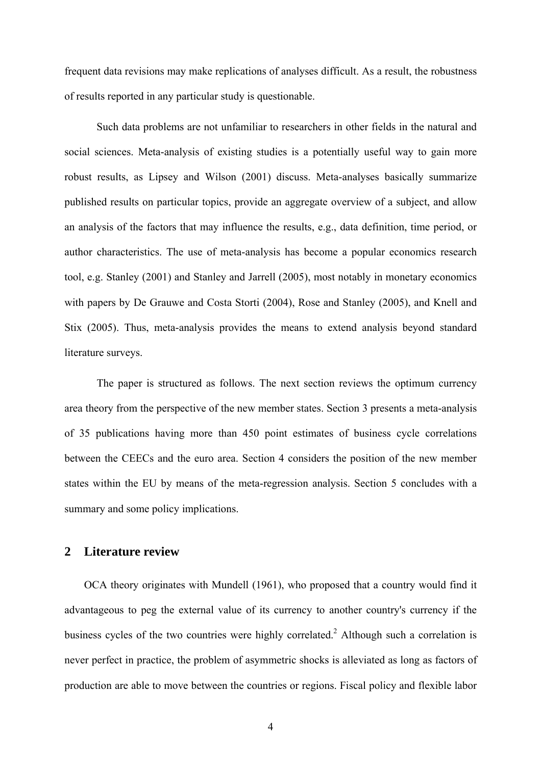frequent data revisions may make replications of analyses difficult. As a result, the robustness of results reported in any particular study is questionable.

Such data problems are not unfamiliar to researchers in other fields in the natural and social sciences. Meta-analysis of existing studies is a potentially useful way to gain more robust results, as Lipsey and Wilson (2001) discuss. Meta-analyses basically summarize published results on particular topics, provide an aggregate overview of a subject, and allow an analysis of the factors that may influence the results, e.g., data definition, time period, or author characteristics. The use of meta-analysis has become a popular economics research tool, e.g. Stanley (2001) and Stanley and Jarrell (2005), most notably in monetary economics with papers by De Grauwe and Costa Storti (2004), Rose and Stanley (2005), and Knell and Stix (2005). Thus, meta-analysis provides the means to extend analysis beyond standard literature surveys.

The paper is structured as follows. The next section reviews the optimum currency area theory from the perspective of the new member states. Section 3 presents a meta-analysis of 35 publications having more than 450 point estimates of business cycle correlations between the CEECs and the euro area. Section 4 considers the position of the new member states within the EU by means of the meta-regression analysis. Section 5 concludes with a summary and some policy implications.

## **2 Literature review**

OCA theory originates with Mundell (1961), who proposed that a country would find it advantageous to peg the external value of its currency to another country's currency if the business cycles of the two countries were highly correlated.<sup>2</sup> Although such a correlation is never perfect in practice, the problem of asymmetric shocks is alleviated as long as factors of production are able to move between the countries or regions. Fiscal policy and flexible labor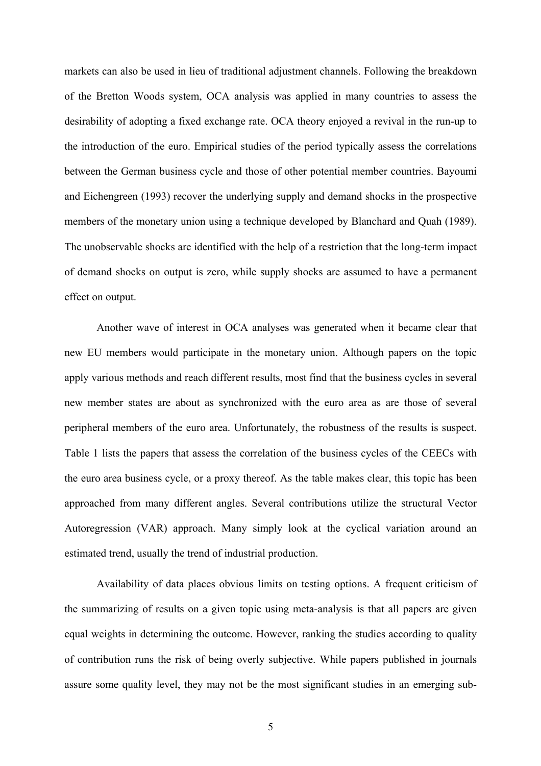markets can also be used in lieu of traditional adjustment channels. Following the breakdown of the Bretton Woods system, OCA analysis was applied in many countries to assess the desirability of adopting a fixed exchange rate. OCA theory enjoyed a revival in the run-up to the introduction of the euro. Empirical studies of the period typically assess the correlations between the German business cycle and those of other potential member countries. Bayoumi and Eichengreen (1993) recover the underlying supply and demand shocks in the prospective members of the monetary union using a technique developed by Blanchard and Quah (1989). The unobservable shocks are identified with the help of a restriction that the long-term impact of demand shocks on output is zero, while supply shocks are assumed to have a permanent effect on output.

Another wave of interest in OCA analyses was generated when it became clear that new EU members would participate in the monetary union. Although papers on the topic apply various methods and reach different results, most find that the business cycles in several new member states are about as synchronized with the euro area as are those of several peripheral members of the euro area. Unfortunately, the robustness of the results is suspect. Table 1 lists the papers that assess the correlation of the business cycles of the CEECs with the euro area business cycle, or a proxy thereof. As the table makes clear, this topic has been approached from many different angles. Several contributions utilize the structural Vector Autoregression (VAR) approach. Many simply look at the cyclical variation around an estimated trend, usually the trend of industrial production.

Availability of data places obvious limits on testing options. A frequent criticism of the summarizing of results on a given topic using meta-analysis is that all papers are given equal weights in determining the outcome. However, ranking the studies according to quality of contribution runs the risk of being overly subjective. While papers published in journals assure some quality level, they may not be the most significant studies in an emerging sub-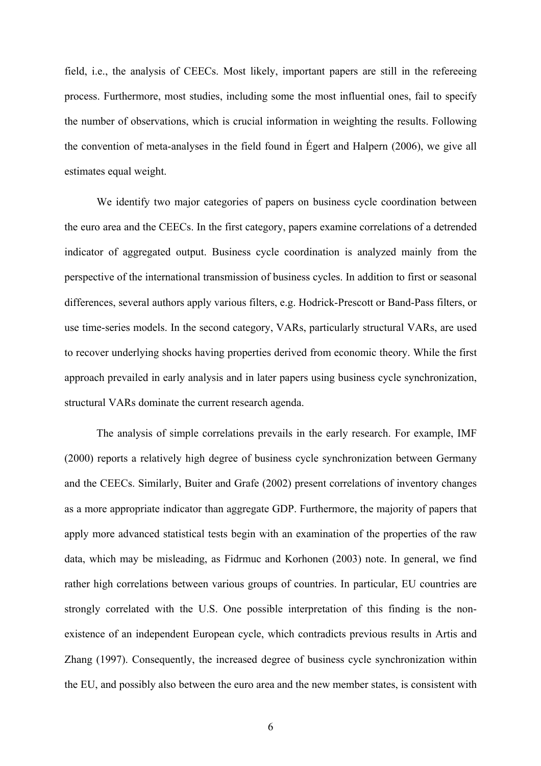field, i.e., the analysis of CEECs. Most likely, important papers are still in the refereeing process. Furthermore, most studies, including some the most influential ones, fail to specify the number of observations, which is crucial information in weighting the results. Following the convention of meta-analyses in the field found in Égert and Halpern (2006), we give all estimates equal weight.

We identify two major categories of papers on business cycle coordination between the euro area and the CEECs. In the first category, papers examine correlations of a detrended indicator of aggregated output. Business cycle coordination is analyzed mainly from the perspective of the international transmission of business cycles. In addition to first or seasonal differences, several authors apply various filters, e.g. Hodrick-Prescott or Band-Pass filters, or use time-series models. In the second category, VARs, particularly structural VARs, are used to recover underlying shocks having properties derived from economic theory. While the first approach prevailed in early analysis and in later papers using business cycle synchronization, structural VARs dominate the current research agenda.

The analysis of simple correlations prevails in the early research. For example, IMF (2000) reports a relatively high degree of business cycle synchronization between Germany and the CEECs. Similarly, Buiter and Grafe (2002) present correlations of inventory changes as a more appropriate indicator than aggregate GDP. Furthermore, the majority of papers that apply more advanced statistical tests begin with an examination of the properties of the raw data, which may be misleading, as Fidrmuc and Korhonen (2003) note. In general, we find rather high correlations between various groups of countries. In particular, EU countries are strongly correlated with the U.S. One possible interpretation of this finding is the nonexistence of an independent European cycle, which contradicts previous results in Artis and Zhang (1997). Consequently, the increased degree of business cycle synchronization within the EU, and possibly also between the euro area and the new member states, is consistent with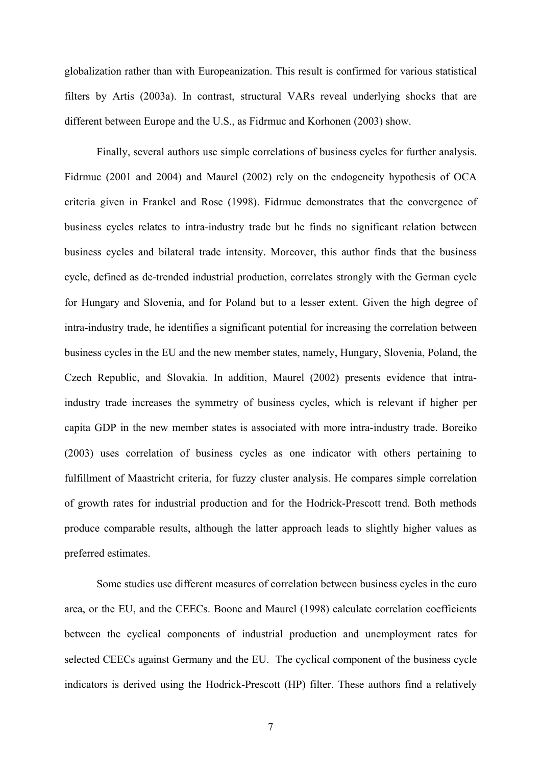globalization rather than with Europeanization. This result is confirmed for various statistical filters by Artis (2003a). In contrast, structural VARs reveal underlying shocks that are different between Europe and the U.S., as Fidrmuc and Korhonen (2003) show.

Finally, several authors use simple correlations of business cycles for further analysis. Fidrmuc (2001 and 2004) and Maurel (2002) rely on the endogeneity hypothesis of OCA criteria given in Frankel and Rose (1998). Fidrmuc demonstrates that the convergence of business cycles relates to intra-industry trade but he finds no significant relation between business cycles and bilateral trade intensity. Moreover, this author finds that the business cycle, defined as de-trended industrial production, correlates strongly with the German cycle for Hungary and Slovenia, and for Poland but to a lesser extent. Given the high degree of intra-industry trade, he identifies a significant potential for increasing the correlation between business cycles in the EU and the new member states, namely, Hungary, Slovenia, Poland, the Czech Republic, and Slovakia. In addition, Maurel (2002) presents evidence that intraindustry trade increases the symmetry of business cycles, which is relevant if higher per capita GDP in the new member states is associated with more intra-industry trade. Boreiko (2003) uses correlation of business cycles as one indicator with others pertaining to fulfillment of Maastricht criteria, for fuzzy cluster analysis. He compares simple correlation of growth rates for industrial production and for the Hodrick-Prescott trend. Both methods produce comparable results, although the latter approach leads to slightly higher values as preferred estimates.

Some studies use different measures of correlation between business cycles in the euro area, or the EU, and the CEECs. Boone and Maurel (1998) calculate correlation coefficients between the cyclical components of industrial production and unemployment rates for selected CEECs against Germany and the EU. The cyclical component of the business cycle indicators is derived using the Hodrick-Prescott (HP) filter. These authors find a relatively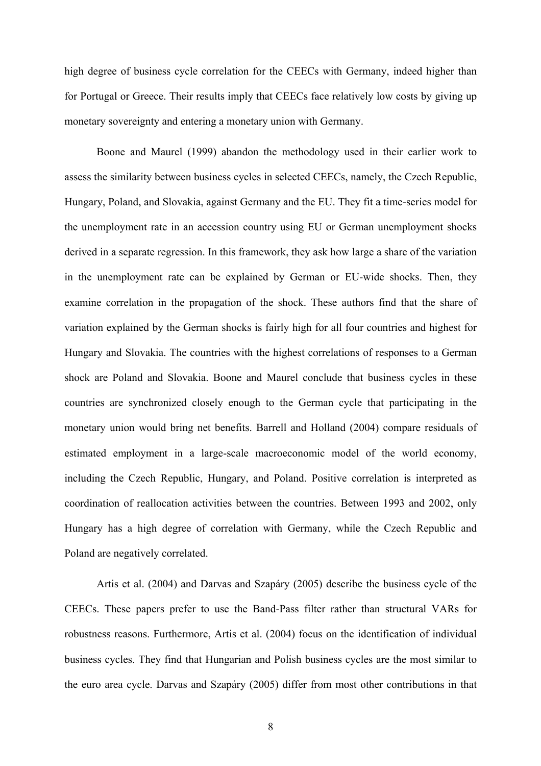high degree of business cycle correlation for the CEECs with Germany, indeed higher than for Portugal or Greece. Their results imply that CEECs face relatively low costs by giving up monetary sovereignty and entering a monetary union with Germany.

Boone and Maurel (1999) abandon the methodology used in their earlier work to assess the similarity between business cycles in selected CEECs, namely, the Czech Republic, Hungary, Poland, and Slovakia, against Germany and the EU. They fit a time-series model for the unemployment rate in an accession country using EU or German unemployment shocks derived in a separate regression. In this framework, they ask how large a share of the variation in the unemployment rate can be explained by German or EU-wide shocks. Then, they examine correlation in the propagation of the shock. These authors find that the share of variation explained by the German shocks is fairly high for all four countries and highest for Hungary and Slovakia. The countries with the highest correlations of responses to a German shock are Poland and Slovakia. Boone and Maurel conclude that business cycles in these countries are synchronized closely enough to the German cycle that participating in the monetary union would bring net benefits. Barrell and Holland (2004) compare residuals of estimated employment in a large-scale macroeconomic model of the world economy, including the Czech Republic, Hungary, and Poland. Positive correlation is interpreted as coordination of reallocation activities between the countries. Between 1993 and 2002, only Hungary has a high degree of correlation with Germany, while the Czech Republic and Poland are negatively correlated.

Artis et al. (2004) and Darvas and Szapáry (2005) describe the business cycle of the CEECs. These papers prefer to use the Band-Pass filter rather than structural VARs for robustness reasons. Furthermore, Artis et al. (2004) focus on the identification of individual business cycles. They find that Hungarian and Polish business cycles are the most similar to the euro area cycle. Darvas and Szapáry (2005) differ from most other contributions in that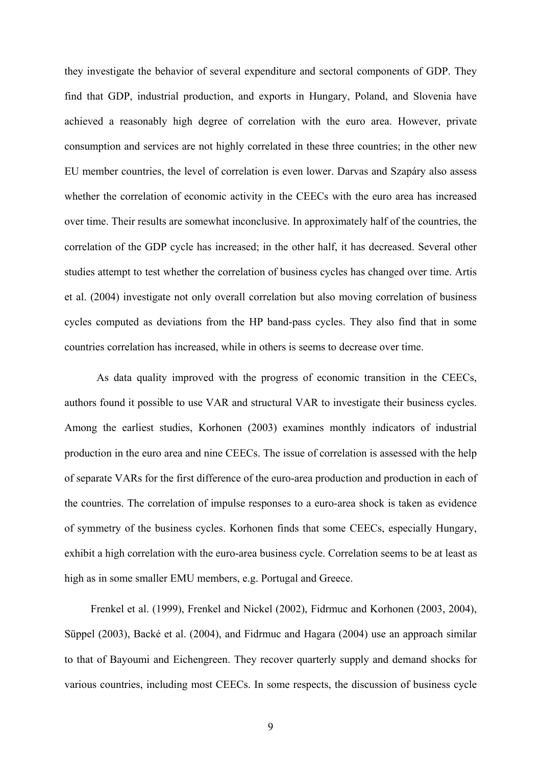they investigate the behavior of several expenditure and sectoral components of GDP. They find that GDP, industrial production, and exports in Hungary, Poland, and Slovenia have achieved a reasonably high degree of correlation with the euro area. However, private consumption and services are not highly correlated in these three countries; in the other new EU member countries, the level of correlation is even lower. Darvas and Szapáry also assess whether the correlation of economic activity in the CEECs with the euro area has increased over time. Their results are somewhat inconclusive. In approximately half of the countries, the correlation of the GDP cycle has increased; in the other half, it has decreased. Several other studies attempt to test whether the correlation of business cycles has changed over time. Artis et al. (2004) investigate not only overall correlation but also moving correlation of business cycles computed as deviations from the HP band-pass cycles. They also find that in some countries correlation has increased, while in others is seems to decrease over time.

As data quality improved with the progress of economic transition in the CEECs, authors found it possible to use VAR and structural VAR to investigate their business cycles. Among the earliest studies, Korhonen (2003) examines monthly indicators of industrial production in the euro area and nine CEECs. The issue of correlation is assessed with the help of separate VARs for the first difference of the euro-area production and production in each of the countries. The correlation of impulse responses to a euro-area shock is taken as evidence of symmetry of the business cycles. Korhonen finds that some CEECs, especially Hungary, exhibit a high correlation with the euro-area business cycle. Correlation seems to be at least as high as in some smaller EMU members, e.g. Portugal and Greece.

Frenkel et al. (1999), Frenkel and Nickel (2002), Fidrmuc and Korhonen (2003, 2004), Süppel (2003), Backé et al. (2004), and Fidrmuc and Hagara (2004) use an approach similar to that of Bayoumi and Eichengreen. They recover quarterly supply and demand shocks for various countries, including most CEECs. In some respects, the discussion of business cycle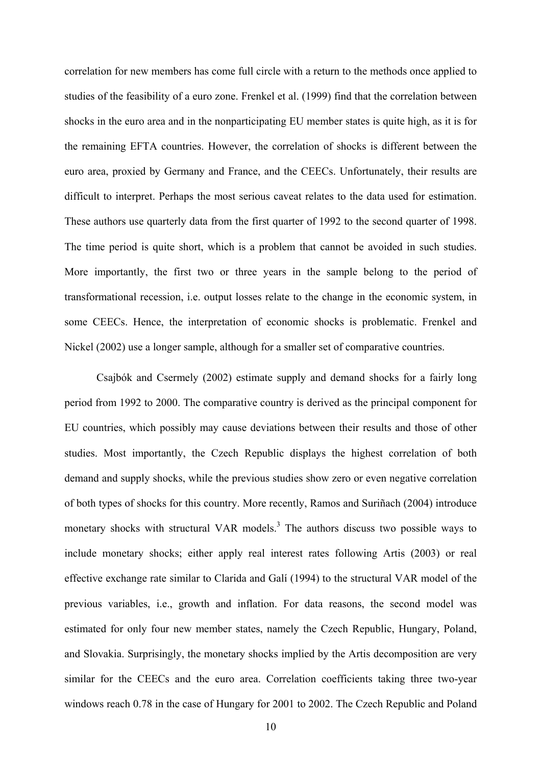correlation for new members has come full circle with a return to the methods once applied to studies of the feasibility of a euro zone. Frenkel et al. (1999) find that the correlation between shocks in the euro area and in the nonparticipating EU member states is quite high, as it is for the remaining EFTA countries. However, the correlation of shocks is different between the euro area, proxied by Germany and France, and the CEECs. Unfortunately, their results are difficult to interpret. Perhaps the most serious caveat relates to the data used for estimation. These authors use quarterly data from the first quarter of 1992 to the second quarter of 1998. The time period is quite short, which is a problem that cannot be avoided in such studies. More importantly, the first two or three years in the sample belong to the period of transformational recession, i.e. output losses relate to the change in the economic system, in some CEECs. Hence, the interpretation of economic shocks is problematic. Frenkel and Nickel (2002) use a longer sample, although for a smaller set of comparative countries.

Csajbók and Csermely (2002) estimate supply and demand shocks for a fairly long period from 1992 to 2000. The comparative country is derived as the principal component for EU countries, which possibly may cause deviations between their results and those of other studies. Most importantly, the Czech Republic displays the highest correlation of both demand and supply shocks, while the previous studies show zero or even negative correlation of both types of shocks for this country. More recently, Ramos and Suriñach (2004) introduce monetary shocks with structural VAR models.<sup>3</sup> The authors discuss two possible ways to include monetary shocks; either apply real interest rates following Artis (2003) or real effective exchange rate similar to Clarida and Galí (1994) to the structural VAR model of the previous variables, i.e., growth and inflation. For data reasons, the second model was estimated for only four new member states, namely the Czech Republic, Hungary, Poland, and Slovakia. Surprisingly, the monetary shocks implied by the Artis decomposition are very similar for the CEECs and the euro area. Correlation coefficients taking three two-year windows reach 0.78 in the case of Hungary for 2001 to 2002. The Czech Republic and Poland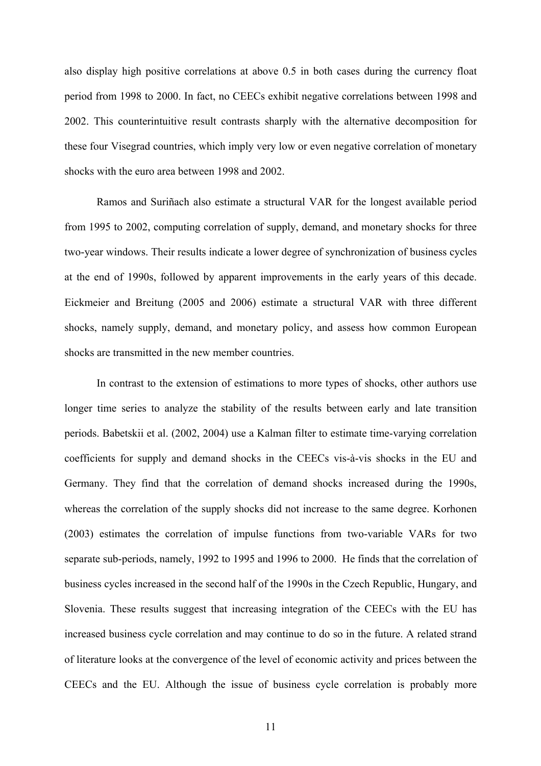also display high positive correlations at above 0.5 in both cases during the currency float period from 1998 to 2000. In fact, no CEECs exhibit negative correlations between 1998 and 2002. This counterintuitive result contrasts sharply with the alternative decomposition for these four Visegrad countries, which imply very low or even negative correlation of monetary shocks with the euro area between 1998 and 2002.

Ramos and Suriñach also estimate a structural VAR for the longest available period from 1995 to 2002, computing correlation of supply, demand, and monetary shocks for three two-year windows. Their results indicate a lower degree of synchronization of business cycles at the end of 1990s, followed by apparent improvements in the early years of this decade. Eickmeier and Breitung (2005 and 2006) estimate a structural VAR with three different shocks, namely supply, demand, and monetary policy, and assess how common European shocks are transmitted in the new member countries.

In contrast to the extension of estimations to more types of shocks, other authors use longer time series to analyze the stability of the results between early and late transition periods. Babetskii et al. (2002, 2004) use a Kalman filter to estimate time-varying correlation coefficients for supply and demand shocks in the CEECs vis-à-vis shocks in the EU and Germany. They find that the correlation of demand shocks increased during the 1990s, whereas the correlation of the supply shocks did not increase to the same degree. Korhonen (2003) estimates the correlation of impulse functions from two-variable VARs for two separate sub-periods, namely, 1992 to 1995 and 1996 to 2000. He finds that the correlation of business cycles increased in the second half of the 1990s in the Czech Republic, Hungary, and Slovenia. These results suggest that increasing integration of the CEECs with the EU has increased business cycle correlation and may continue to do so in the future. A related strand of literature looks at the convergence of the level of economic activity and prices between the CEECs and the EU. Although the issue of business cycle correlation is probably more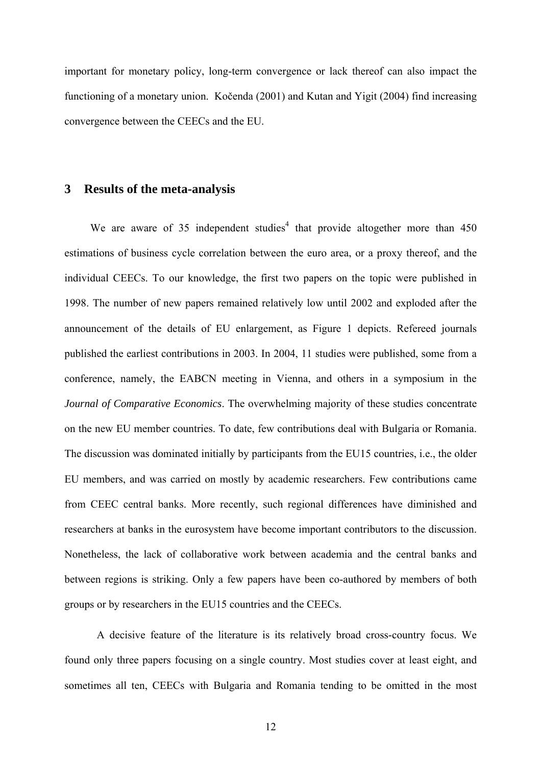important for monetary policy, long-term convergence or lack thereof can also impact the functioning of a monetary union. Kočenda (2001) and Kutan and Yigit (2004) find increasing convergence between the CEECs and the EU.

## **3 Results of the meta-analysis**

We are aware of 35 independent studies<sup>4</sup> that provide altogether more than  $450$ estimations of business cycle correlation between the euro area, or a proxy thereof, and the individual CEECs. To our knowledge, the first two papers on the topic were published in 1998. The number of new papers remained relatively low until 2002 and exploded after the announcement of the details of EU enlargement, as Figure 1 depicts. Refereed journals published the earliest contributions in 2003. In 2004, 11 studies were published, some from a conference, namely, the EABCN meeting in Vienna, and others in a symposium in the *Journal of Comparative Economics*. The overwhelming majority of these studies concentrate on the new EU member countries. To date, few contributions deal with Bulgaria or Romania. The discussion was dominated initially by participants from the EU15 countries, i.e., the older EU members, and was carried on mostly by academic researchers. Few contributions came from CEEC central banks. More recently, such regional differences have diminished and researchers at banks in the eurosystem have become important contributors to the discussion. Nonetheless, the lack of collaborative work between academia and the central banks and between regions is striking. Only a few papers have been co-authored by members of both groups or by researchers in the EU15 countries and the CEECs.

A decisive feature of the literature is its relatively broad cross-country focus. We found only three papers focusing on a single country. Most studies cover at least eight, and sometimes all ten, CEECs with Bulgaria and Romania tending to be omitted in the most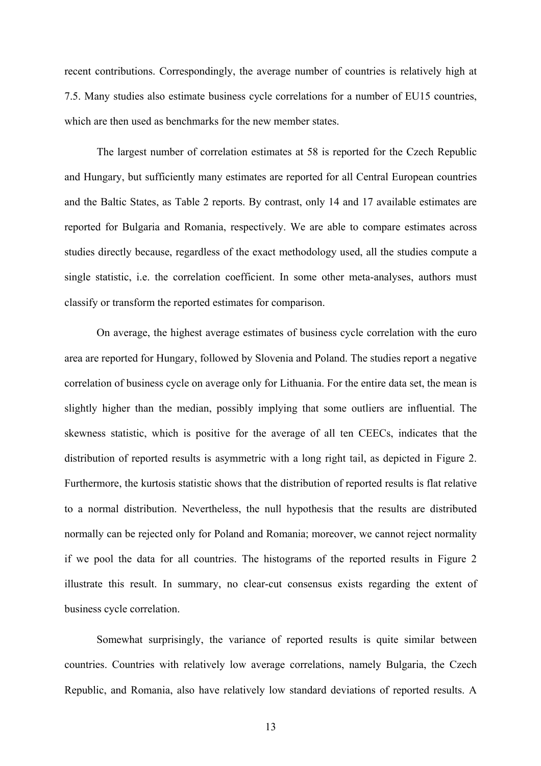recent contributions. Correspondingly, the average number of countries is relatively high at 7.5. Many studies also estimate business cycle correlations for a number of EU15 countries, which are then used as benchmarks for the new member states.

The largest number of correlation estimates at 58 is reported for the Czech Republic and Hungary, but sufficiently many estimates are reported for all Central European countries and the Baltic States, as Table 2 reports. By contrast, only 14 and 17 available estimates are reported for Bulgaria and Romania, respectively. We are able to compare estimates across studies directly because, regardless of the exact methodology used, all the studies compute a single statistic, i.e. the correlation coefficient. In some other meta-analyses, authors must classify or transform the reported estimates for comparison.

On average, the highest average estimates of business cycle correlation with the euro area are reported for Hungary, followed by Slovenia and Poland. The studies report a negative correlation of business cycle on average only for Lithuania. For the entire data set, the mean is slightly higher than the median, possibly implying that some outliers are influential. The skewness statistic, which is positive for the average of all ten CEECs, indicates that the distribution of reported results is asymmetric with a long right tail, as depicted in Figure 2. Furthermore, the kurtosis statistic shows that the distribution of reported results is flat relative to a normal distribution. Nevertheless, the null hypothesis that the results are distributed normally can be rejected only for Poland and Romania; moreover, we cannot reject normality if we pool the data for all countries. The histograms of the reported results in Figure 2 illustrate this result. In summary, no clear-cut consensus exists regarding the extent of business cycle correlation.

Somewhat surprisingly, the variance of reported results is quite similar between countries. Countries with relatively low average correlations, namely Bulgaria, the Czech Republic, and Romania, also have relatively low standard deviations of reported results. A

13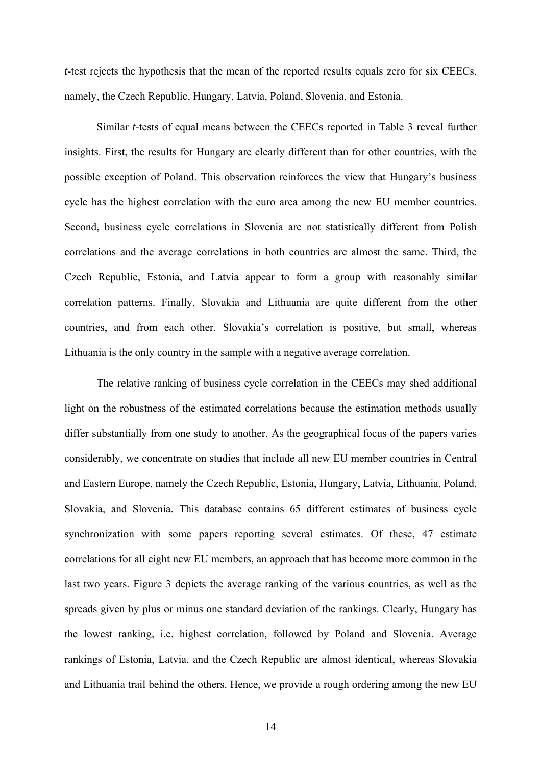*t*-test rejects the hypothesis that the mean of the reported results equals zero for six CEECs, namely, the Czech Republic, Hungary, Latvia, Poland, Slovenia, and Estonia.

Similar *t*-tests of equal means between the CEECs reported in Table 3 reveal further insights. First, the results for Hungary are clearly different than for other countries, with the possible exception of Poland. This observation reinforces the view that Hungary's business cycle has the highest correlation with the euro area among the new EU member countries. Second, business cycle correlations in Slovenia are not statistically different from Polish correlations and the average correlations in both countries are almost the same. Third, the Czech Republic, Estonia, and Latvia appear to form a group with reasonably similar correlation patterns. Finally, Slovakia and Lithuania are quite different from the other countries, and from each other. Slovakia's correlation is positive, but small, whereas Lithuania is the only country in the sample with a negative average correlation.

The relative ranking of business cycle correlation in the CEECs may shed additional light on the robustness of the estimated correlations because the estimation methods usually differ substantially from one study to another. As the geographical focus of the papers varies considerably, we concentrate on studies that include all new EU member countries in Central and Eastern Europe, namely the Czech Republic, Estonia, Hungary, Latvia, Lithuania, Poland, Slovakia, and Slovenia. This database contains 65 different estimates of business cycle synchronization with some papers reporting several estimates. Of these, 47 estimate correlations for all eight new EU members, an approach that has become more common in the last two years. Figure 3 depicts the average ranking of the various countries, as well as the spreads given by plus or minus one standard deviation of the rankings. Clearly, Hungary has the lowest ranking, i.e. highest correlation, followed by Poland and Slovenia. Average rankings of Estonia, Latvia, and the Czech Republic are almost identical, whereas Slovakia and Lithuania trail behind the others. Hence, we provide a rough ordering among the new EU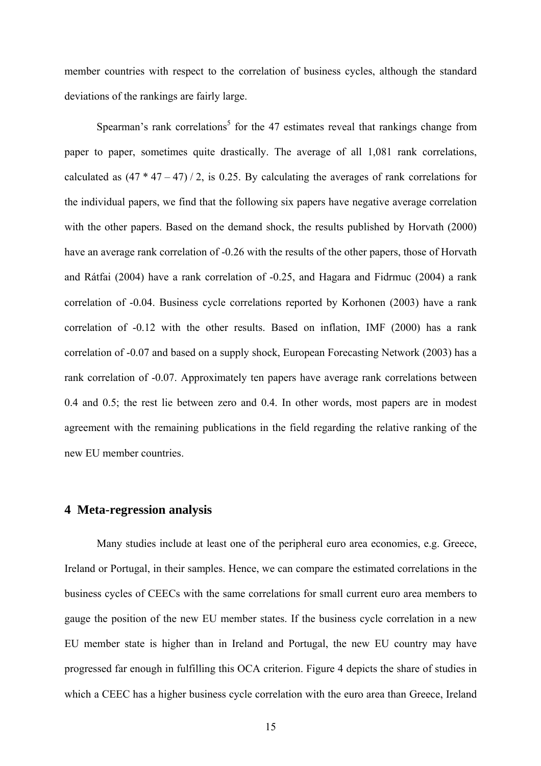member countries with respect to the correlation of business cycles, although the standard deviations of the rankings are fairly large.

Spearman's rank correlations<sup>5</sup> for the 47 estimates reveal that rankings change from paper to paper, sometimes quite drastically. The average of all 1,081 rank correlations, calculated as  $(47 * 47 - 47) / 2$ , is 0.25. By calculating the averages of rank correlations for the individual papers, we find that the following six papers have negative average correlation with the other papers. Based on the demand shock, the results published by Horvath (2000) have an average rank correlation of -0.26 with the results of the other papers, those of Horvath and Rátfai (2004) have a rank correlation of -0.25, and Hagara and Fidrmuc (2004) a rank correlation of -0.04. Business cycle correlations reported by Korhonen (2003) have a rank correlation of -0.12 with the other results. Based on inflation, IMF (2000) has a rank correlation of -0.07 and based on a supply shock, European Forecasting Network (2003) has a rank correlation of -0.07. Approximately ten papers have average rank correlations between 0.4 and 0.5; the rest lie between zero and 0.4. In other words, most papers are in modest agreement with the remaining publications in the field regarding the relative ranking of the new EU member countries.

## **4 Meta-regression analysis**

Many studies include at least one of the peripheral euro area economies, e.g. Greece, Ireland or Portugal, in their samples. Hence, we can compare the estimated correlations in the business cycles of CEECs with the same correlations for small current euro area members to gauge the position of the new EU member states. If the business cycle correlation in a new EU member state is higher than in Ireland and Portugal, the new EU country may have progressed far enough in fulfilling this OCA criterion. Figure 4 depicts the share of studies in which a CEEC has a higher business cycle correlation with the euro area than Greece, Ireland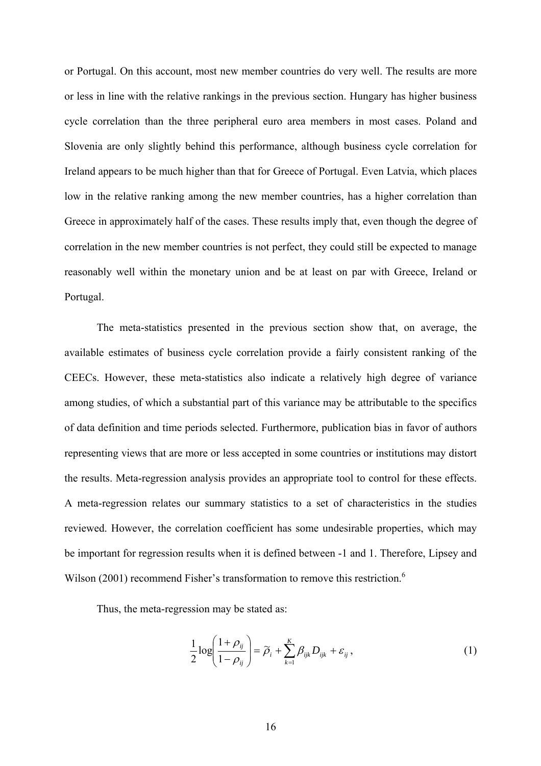or Portugal. On this account, most new member countries do very well. The results are more or less in line with the relative rankings in the previous section. Hungary has higher business cycle correlation than the three peripheral euro area members in most cases. Poland and Slovenia are only slightly behind this performance, although business cycle correlation for Ireland appears to be much higher than that for Greece of Portugal. Even Latvia, which places low in the relative ranking among the new member countries, has a higher correlation than Greece in approximately half of the cases. These results imply that, even though the degree of correlation in the new member countries is not perfect, they could still be expected to manage reasonably well within the monetary union and be at least on par with Greece, Ireland or Portugal.

The meta-statistics presented in the previous section show that, on average, the available estimates of business cycle correlation provide a fairly consistent ranking of the CEECs. However, these meta-statistics also indicate a relatively high degree of variance among studies, of which a substantial part of this variance may be attributable to the specifics of data definition and time periods selected. Furthermore, publication bias in favor of authors representing views that are more or less accepted in some countries or institutions may distort the results. Meta-regression analysis provides an appropriate tool to control for these effects. A meta-regression relates our summary statistics to a set of characteristics in the studies reviewed. However, the correlation coefficient has some undesirable properties, which may be important for regression results when it is defined between -1 and 1. Therefore, Lipsey and Wilson (2001) recommend Fisher's transformation to remove this restriction.<sup>6</sup>

Thus, the meta-regression may be stated as:

$$
\frac{1}{2}\log\left(\frac{1+\rho_{ij}}{1-\rho_{ij}}\right)=\widetilde{\rho}_i+\sum_{k=1}^K\beta_{ijk}D_{ijk}+\varepsilon_{ij},\qquad(1)
$$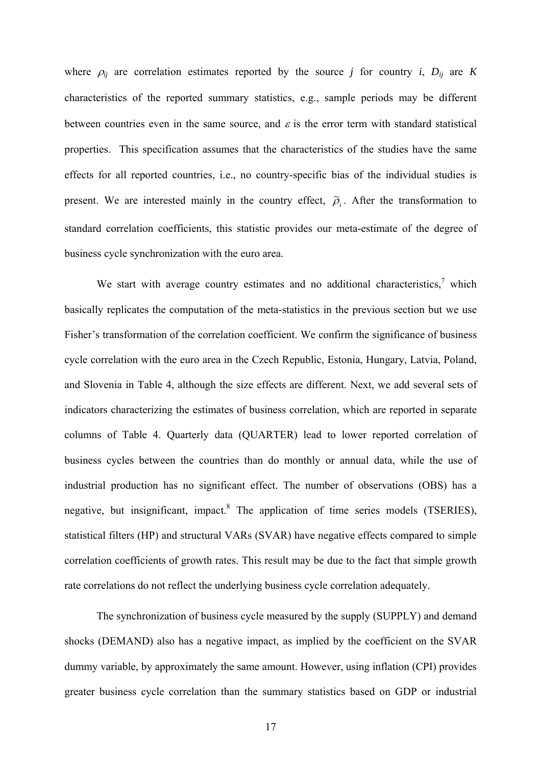where  $\rho_{ij}$  are correlation estimates reported by the source *j* for country *i*,  $D_{ij}$  are *K* characteristics of the reported summary statistics, e.g., sample periods may be different between countries even in the same source, and  $\varepsilon$  is the error term with standard statistical properties. This specification assumes that the characteristics of the studies have the same effects for all reported countries, i.e., no country-specific bias of the individual studies is present. We are interested mainly in the country effect,  $\tilde{\rho}_i$ . After the transformation to standard correlation coefficients, this statistic provides our meta-estimate of the degree of business cycle synchronization with the euro area.

We start with average country estimates and no additional characteristics, $\frac{7}{1}$  which basically replicates the computation of the meta-statistics in the previous section but we use Fisher's transformation of the correlation coefficient. We confirm the significance of business cycle correlation with the euro area in the Czech Republic, Estonia, Hungary, Latvia, Poland, and Slovenia in Table 4, although the size effects are different. Next, we add several sets of indicators characterizing the estimates of business correlation, which are reported in separate columns of Table 4. Quarterly data (QUARTER) lead to lower reported correlation of business cycles between the countries than do monthly or annual data, while the use of industrial production has no significant effect. The number of observations (OBS) has a negative, but insignificant, impact.<sup>8</sup> The application of time series models (TSERIES), statistical filters (HP) and structural VARs (SVAR) have negative effects compared to simple correlation coefficients of growth rates. This result may be due to the fact that simple growth rate correlations do not reflect the underlying business cycle correlation adequately.

The synchronization of business cycle measured by the supply (SUPPLY) and demand shocks (DEMAND) also has a negative impact, as implied by the coefficient on the SVAR dummy variable, by approximately the same amount. However, using inflation (CPI) provides greater business cycle correlation than the summary statistics based on GDP or industrial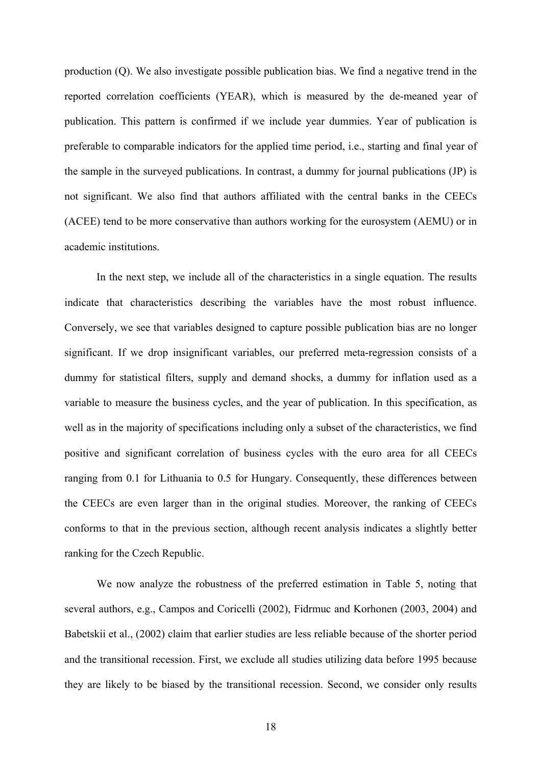production (Q). We also investigate possible publication bias. We find a negative trend in the reported correlation coefficients (YEAR), which is measured by the de-meaned year of publication. This pattern is confirmed if we include year dummies. Year of publication is preferable to comparable indicators for the applied time period, i.e., starting and final year of the sample in the surveyed publications. In contrast, a dummy for journal publications (JP) is not significant. We also find that authors affiliated with the central banks in the CEECs (ACEE) tend to be more conservative than authors working for the eurosystem (AEMU) or in academic institutions.

In the next step, we include all of the characteristics in a single equation. The results indicate that characteristics describing the variables have the most robust influence. Conversely, we see that variables designed to capture possible publication bias are no longer significant. If we drop insignificant variables, our preferred meta-regression consists of a dummy for statistical filters, supply and demand shocks, a dummy for inflation used as a variable to measure the business cycles, and the year of publication. In this specification, as well as in the majority of specifications including only a subset of the characteristics, we find positive and significant correlation of business cycles with the euro area for all CEECs ranging from 0.1 for Lithuania to 0.5 for Hungary. Consequently, these differences between the CEECs are even larger than in the original studies. Moreover, the ranking of CEECs conforms to that in the previous section, although recent analysis indicates a slightly better ranking for the Czech Republic.

We now analyze the robustness of the preferred estimation in Table 5, noting that several authors, e.g., Campos and Coricelli (2002), Fidrmuc and Korhonen (2003, 2004) and Babetskii et al., (2002) claim that earlier studies are less reliable because of the shorter period and the transitional recession. First, we exclude all studies utilizing data before 1995 because they are likely to be biased by the transitional recession. Second, we consider only results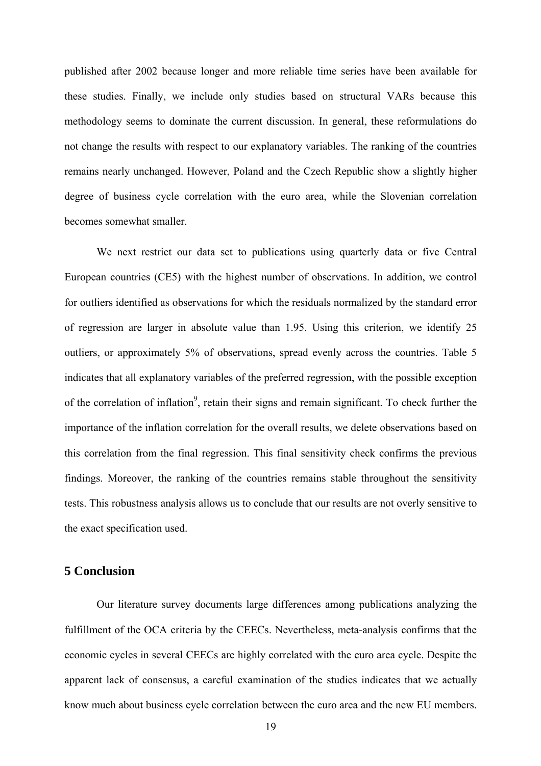published after 2002 because longer and more reliable time series have been available for these studies. Finally, we include only studies based on structural VARs because this methodology seems to dominate the current discussion. In general, these reformulations do not change the results with respect to our explanatory variables. The ranking of the countries remains nearly unchanged. However, Poland and the Czech Republic show a slightly higher degree of business cycle correlation with the euro area, while the Slovenian correlation becomes somewhat smaller.

We next restrict our data set to publications using quarterly data or five Central European countries (CE5) with the highest number of observations. In addition, we control for outliers identified as observations for which the residuals normalized by the standard error of regression are larger in absolute value than 1.95. Using this criterion, we identify 25 outliers, or approximately 5% of observations, spread evenly across the countries. Table 5 indicates that all explanatory variables of the preferred regression, with the possible exception of the correlation of inflation<sup>9</sup>, retain their signs and remain significant. To check further the importance of the inflation correlation for the overall results, we delete observations based on this correlation from the final regression. This final sensitivity check confirms the previous findings. Moreover, the ranking of the countries remains stable throughout the sensitivity tests. This robustness analysis allows us to conclude that our results are not overly sensitive to the exact specification used.

## **5 Conclusion**

Our literature survey documents large differences among publications analyzing the fulfillment of the OCA criteria by the CEECs. Nevertheless, meta-analysis confirms that the economic cycles in several CEECs are highly correlated with the euro area cycle. Despite the apparent lack of consensus, a careful examination of the studies indicates that we actually know much about business cycle correlation between the euro area and the new EU members.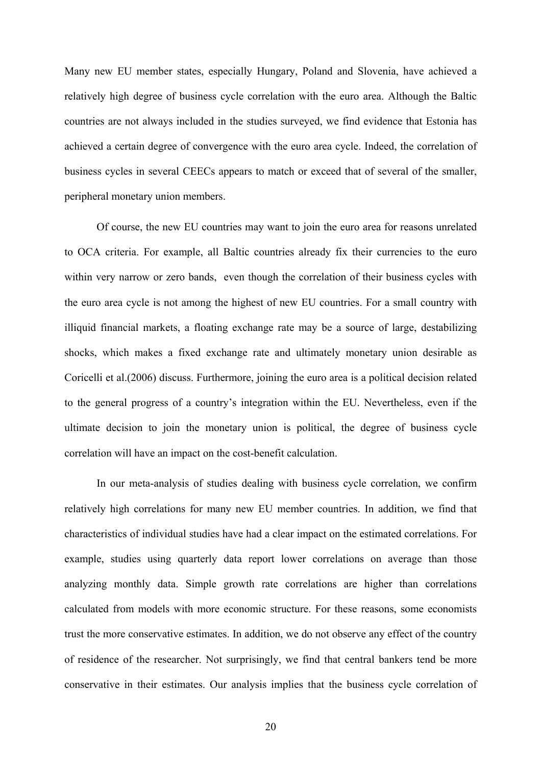Many new EU member states, especially Hungary, Poland and Slovenia, have achieved a relatively high degree of business cycle correlation with the euro area. Although the Baltic countries are not always included in the studies surveyed, we find evidence that Estonia has achieved a certain degree of convergence with the euro area cycle. Indeed, the correlation of business cycles in several CEECs appears to match or exceed that of several of the smaller, peripheral monetary union members.

Of course, the new EU countries may want to join the euro area for reasons unrelated to OCA criteria. For example, all Baltic countries already fix their currencies to the euro within very narrow or zero bands, even though the correlation of their business cycles with the euro area cycle is not among the highest of new EU countries. For a small country with illiquid financial markets, a floating exchange rate may be a source of large, destabilizing shocks, which makes a fixed exchange rate and ultimately monetary union desirable as Coricelli et al.(2006) discuss. Furthermore, joining the euro area is a political decision related to the general progress of a country's integration within the EU. Nevertheless, even if the ultimate decision to join the monetary union is political, the degree of business cycle correlation will have an impact on the cost-benefit calculation.

In our meta-analysis of studies dealing with business cycle correlation, we confirm relatively high correlations for many new EU member countries. In addition, we find that characteristics of individual studies have had a clear impact on the estimated correlations. For example, studies using quarterly data report lower correlations on average than those analyzing monthly data. Simple growth rate correlations are higher than correlations calculated from models with more economic structure. For these reasons, some economists trust the more conservative estimates. In addition, we do not observe any effect of the country of residence of the researcher. Not surprisingly, we find that central bankers tend be more conservative in their estimates. Our analysis implies that the business cycle correlation of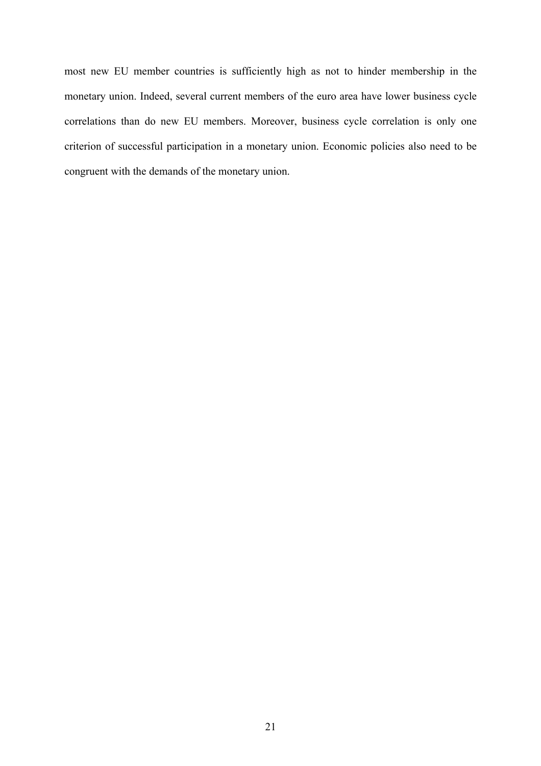most new EU member countries is sufficiently high as not to hinder membership in the monetary union. Indeed, several current members of the euro area have lower business cycle correlations than do new EU members. Moreover, business cycle correlation is only one criterion of successful participation in a monetary union. Economic policies also need to be congruent with the demands of the monetary union.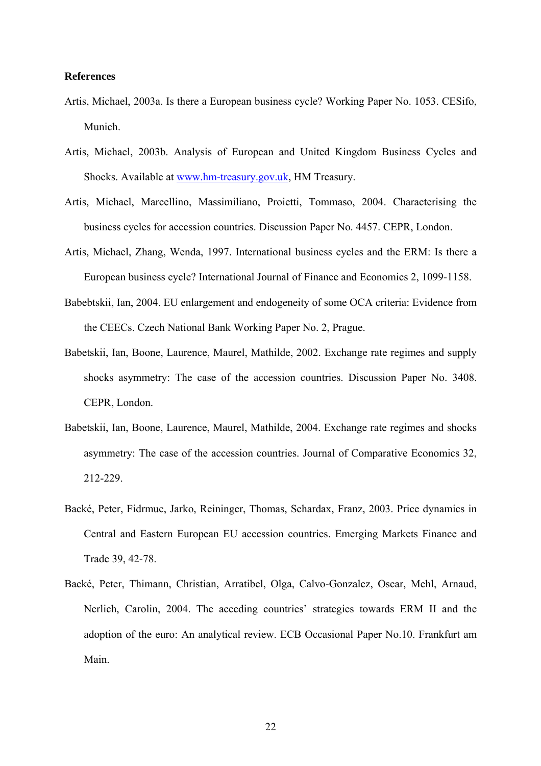#### **References**

- Artis, Michael, 2003a. Is there a European business cycle? Working Paper No. 1053. CESifo, Munich.
- Artis, Michael, 2003b. Analysis of European and United Kingdom Business Cycles and Shocks. Available at www.hm-treasury.gov.uk, HM Treasury.
- Artis, Michael, Marcellino, Massimiliano, Proietti, Tommaso, 2004. Characterising the business cycles for accession countries. Discussion Paper No. 4457. CEPR, London.
- Artis, Michael, Zhang, Wenda, 1997. International business cycles and the ERM: Is there a European business cycle? International Journal of Finance and Economics 2, 1099-1158.
- Babebtskii, Ian, 2004. EU enlargement and endogeneity of some OCA criteria: Evidence from the CEECs. Czech National Bank Working Paper No. 2, Prague.
- Babetskii, Ian, Boone, Laurence, Maurel, Mathilde, 2002. Exchange rate regimes and supply shocks asymmetry: The case of the accession countries. Discussion Paper No. 3408. CEPR, London.
- Babetskii, Ian, Boone, Laurence, Maurel, Mathilde, 2004. Exchange rate regimes and shocks asymmetry: The case of the accession countries. Journal of Comparative Economics 32, 212-229.
- Backé, Peter, Fidrmuc, Jarko, Reininger, Thomas, Schardax, Franz, 2003. Price dynamics in Central and Eastern European EU accession countries. Emerging Markets Finance and Trade 39, 42-78.
- Backé, Peter, Thimann, Christian, Arratibel, Olga, Calvo-Gonzalez, Oscar, Mehl, Arnaud, Nerlich, Carolin, 2004. The acceding countries' strategies towards ERM II and the adoption of the euro: An analytical review. ECB Occasional Paper No.10. Frankfurt am Main.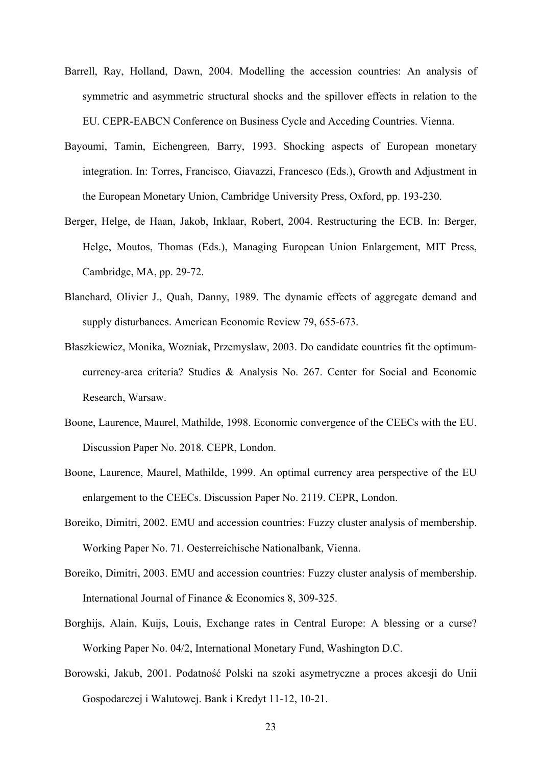- Barrell, Ray, Holland, Dawn, 2004. Modelling the accession countries: An analysis of symmetric and asymmetric structural shocks and the spillover effects in relation to the EU. CEPR-EABCN Conference on Business Cycle and Acceding Countries. Vienna.
- Bayoumi, Tamin, Eichengreen, Barry, 1993. Shocking aspects of European monetary integration. In: Torres, Francisco, Giavazzi, Francesco (Eds.), Growth and Adjustment in the European Monetary Union, Cambridge University Press, Oxford, pp. 193-230.
- Berger, Helge, de Haan, Jakob, Inklaar, Robert, 2004. Restructuring the ECB. In: Berger, Helge, Moutos, Thomas (Eds.), Managing European Union Enlargement, MIT Press, Cambridge, MA, pp. 29-72.
- Blanchard, Olivier J., Quah, Danny, 1989. The dynamic effects of aggregate demand and supply disturbances. American Economic Review 79, 655-673.
- Błaszkiewicz, Monika, Wozniak, Przemyslaw, 2003. Do candidate countries fit the optimumcurrency-area criteria? Studies & Analysis No. 267. Center for Social and Economic Research, Warsaw.
- Boone, Laurence, Maurel, Mathilde, 1998. Economic convergence of the CEECs with the EU. Discussion Paper No. 2018. CEPR, London.
- Boone, Laurence, Maurel, Mathilde, 1999. An optimal currency area perspective of the EU enlargement to the CEECs. Discussion Paper No. 2119. CEPR, London.
- Boreiko, Dimitri, 2002. EMU and accession countries: Fuzzy cluster analysis of membership. Working Paper No. 71. Oesterreichische Nationalbank, Vienna.
- Boreiko, Dimitri, 2003. EMU and accession countries: Fuzzy cluster analysis of membership. International Journal of Finance & Economics 8, 309-325.
- Borghijs, Alain, Kuijs, Louis, Exchange rates in Central Europe: A blessing or a curse? Working Paper No. 04/2, International Monetary Fund, Washington D.C.
- Borowski, Jakub, 2001. Podatność Polski na szoki asymetryczne a proces akcesji do Unii Gospodarczej i Walutowej. Bank i Kredyt 11-12, 10-21.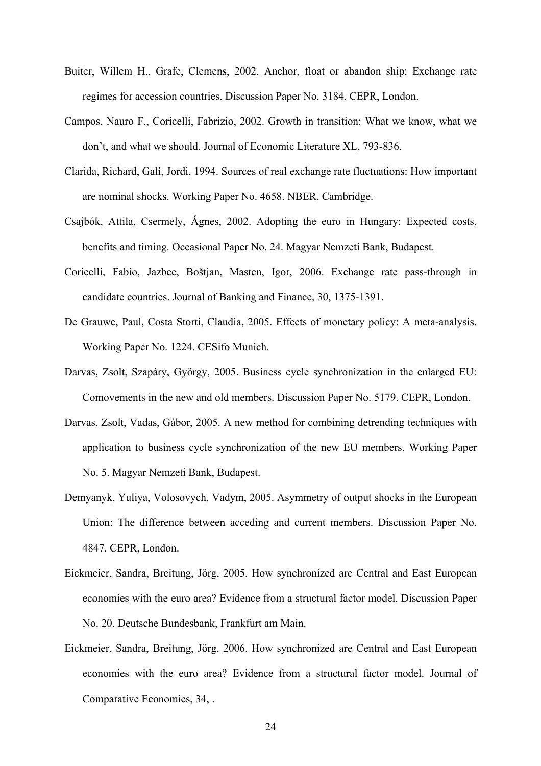- Buiter, Willem H., Grafe, Clemens, 2002. Anchor, float or abandon ship: Exchange rate regimes for accession countries. Discussion Paper No. 3184. CEPR, London.
- Campos, Nauro F., Coricelli, Fabrizio, 2002. Growth in transition: What we know, what we don't, and what we should. Journal of Economic Literature XL, 793-836.
- Clarida, Richard, Galí, Jordi, 1994. Sources of real exchange rate fluctuations: How important are nominal shocks. Working Paper No. 4658. NBER, Cambridge.
- Csajbók, Attila, Csermely, Ágnes, 2002. Adopting the euro in Hungary: Expected costs, benefits and timing. Occasional Paper No. 24. Magyar Nemzeti Bank, Budapest.
- Coricelli, Fabio, Jazbec, Boštjan, Masten, Igor, 2006. Exchange rate pass-through in candidate countries. Journal of Banking and Finance, 30, 1375-1391.
- De Grauwe, Paul, Costa Storti, Claudia, 2005. Effects of monetary policy: A meta-analysis. Working Paper No. 1224. CESifo Munich.
- Darvas, Zsolt, Szapáry, György, 2005. Business cycle synchronization in the enlarged EU: Comovements in the new and old members. Discussion Paper No. 5179. CEPR, London.
- Darvas, Zsolt, Vadas, Gábor, 2005. A new method for combining detrending techniques with application to business cycle synchronization of the new EU members. Working Paper No. 5. Magyar Nemzeti Bank, Budapest.
- Demyanyk, Yuliya, Volosovych, Vadym, 2005. Asymmetry of output shocks in the European Union: The difference between acceding and current members. Discussion Paper No. 4847. CEPR, London.
- Eickmeier, Sandra, Breitung, Jörg, 2005. How synchronized are Central and East European economies with the euro area? Evidence from a structural factor model. Discussion Paper No. 20. Deutsche Bundesbank, Frankfurt am Main.
- Eickmeier, Sandra, Breitung, Jörg, 2006. How synchronized are Central and East European economies with the euro area? Evidence from a structural factor model. Journal of Comparative Economics, 34, .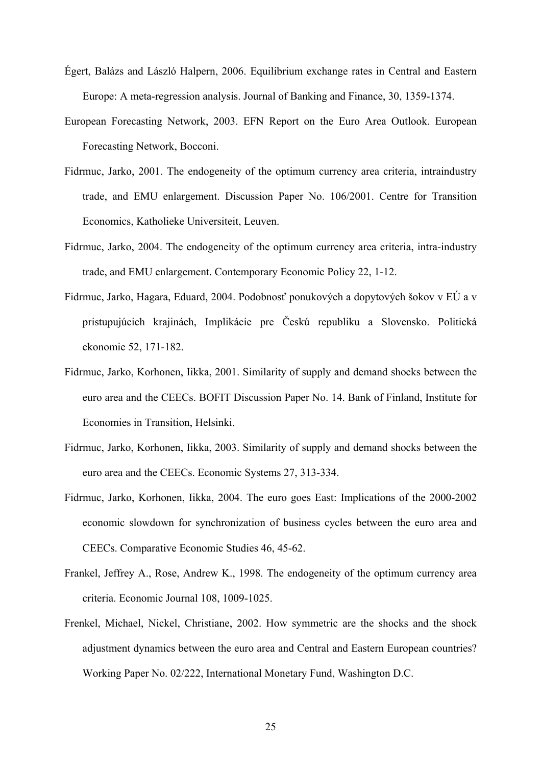- Égert, Balázs and László Halpern, 2006. Equilibrium exchange rates in Central and Eastern Europe: A meta-regression analysis. Journal of Banking and Finance, 30, 1359-1374.
- European Forecasting Network, 2003. EFN Report on the Euro Area Outlook. European Forecasting Network, Bocconi.
- Fidrmuc, Jarko, 2001. The endogeneity of the optimum currency area criteria, intraindustry trade, and EMU enlargement. Discussion Paper No. 106/2001. Centre for Transition Economics, Katholieke Universiteit, Leuven.
- Fidrmuc, Jarko, 2004. The endogeneity of the optimum currency area criteria, intra-industry trade, and EMU enlargement. Contemporary Economic Policy 22, 1-12.
- Fidrmuc, Jarko, Hagara, Eduard, 2004. Podobnosť ponukových a dopytových šokov v EÚ a v pristupujúcich krajinách, Implikácie pre Českú republiku a Slovensko. Politická ekonomie 52, 171-182.
- Fidrmuc, Jarko, Korhonen, Iikka, 2001. Similarity of supply and demand shocks between the euro area and the CEECs. BOFIT Discussion Paper No. 14. Bank of Finland, Institute for Economies in Transition, Helsinki.
- Fidrmuc, Jarko, Korhonen, Iikka, 2003. Similarity of supply and demand shocks between the euro area and the CEECs. Economic Systems 27, 313-334.
- Fidrmuc, Jarko, Korhonen, Iikka, 2004. The euro goes East: Implications of the 2000-2002 economic slowdown for synchronization of business cycles between the euro area and CEECs. Comparative Economic Studies 46, 45-62.
- Frankel, Jeffrey A., Rose, Andrew K., 1998. The endogeneity of the optimum currency area criteria. Economic Journal 108, 1009-1025.
- Frenkel, Michael, Nickel, Christiane, 2002. How symmetric are the shocks and the shock adjustment dynamics between the euro area and Central and Eastern European countries? Working Paper No. 02/222, International Monetary Fund, Washington D.C.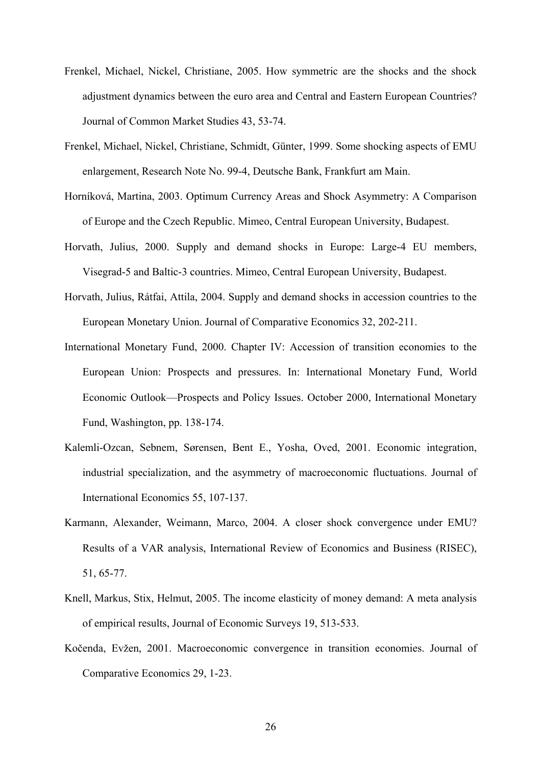- Frenkel, Michael, Nickel, Christiane, 2005. How symmetric are the shocks and the shock adjustment dynamics between the euro area and Central and Eastern European Countries? Journal of Common Market Studies 43, 53-74.
- Frenkel, Michael, Nickel, Christiane, Schmidt, Günter, 1999. Some shocking aspects of EMU enlargement, Research Note No. 99-4, Deutsche Bank, Frankfurt am Main.
- Horníková, Martina, 2003. Optimum Currency Areas and Shock Asymmetry: A Comparison of Europe and the Czech Republic. Mimeo, Central European University, Budapest.
- Horvath, Julius, 2000. Supply and demand shocks in Europe: Large-4 EU members, Visegrad-5 and Baltic-3 countries. Mimeo, Central European University, Budapest.
- Horvath, Julius, Rátfai, Attila, 2004. Supply and demand shocks in accession countries to the European Monetary Union. Journal of Comparative Economics 32, 202-211.
- International Monetary Fund, 2000. Chapter IV: Accession of transition economies to the European Union: Prospects and pressures. In: International Monetary Fund, World Economic Outlook—Prospects and Policy Issues. October 2000, International Monetary Fund, Washington, pp. 138-174.
- Kalemli-Ozcan, Sebnem, Sørensen, Bent E., Yosha, Oved, 2001. Economic integration, industrial specialization, and the asymmetry of macroeconomic fluctuations. Journal of International Economics 55, 107-137.
- Karmann, Alexander, Weimann, Marco, 2004. A closer shock convergence under EMU? Results of a VAR analysis, International Review of Economics and Business (RISEC), 51, 65-77.
- Knell, Markus, Stix, Helmut, 2005. The income elasticity of money demand: A meta analysis of empirical results, Journal of Economic Surveys 19, 513-533.
- Kočenda, Evžen, 2001. Macroeconomic convergence in transition economies. Journal of Comparative Economics 29, 1-23.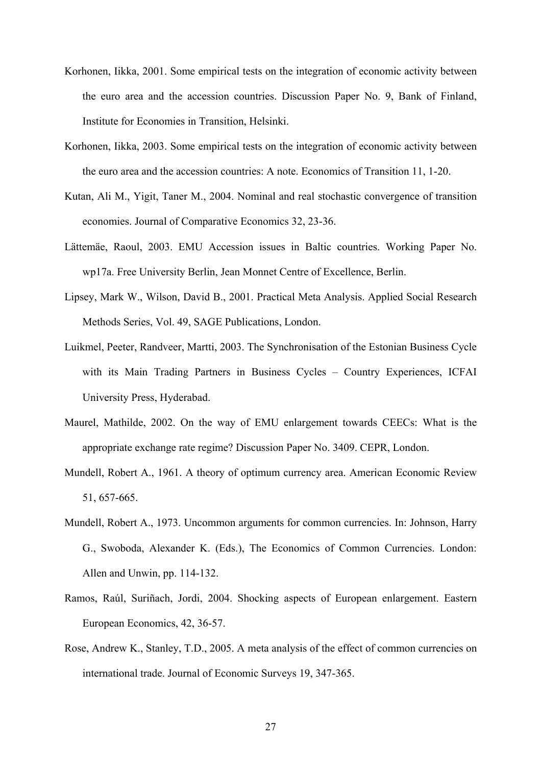- Korhonen, Iikka, 2001. Some empirical tests on the integration of economic activity between the euro area and the accession countries. Discussion Paper No. 9, Bank of Finland, Institute for Economies in Transition, Helsinki.
- Korhonen, Iikka, 2003. Some empirical tests on the integration of economic activity between the euro area and the accession countries: A note. Economics of Transition 11, 1-20.
- Kutan, Ali M., Yigit, Taner M., 2004. Nominal and real stochastic convergence of transition economies. Journal of Comparative Economics 32, 23-36.
- Lättemäe, Raoul, 2003. EMU Accession issues in Baltic countries. Working Paper No. wp17a. Free University Berlin, Jean Monnet Centre of Excellence, Berlin.
- Lipsey, Mark W., Wilson, David B., 2001. Practical Meta Analysis. Applied Social Research Methods Series, Vol. 49, SAGE Publications, London.
- Luikmel, Peeter, Randveer, Martti, 2003. The Synchronisation of the Estonian Business Cycle with its Main Trading Partners in Business Cycles – Country Experiences, ICFAI University Press, Hyderabad.
- Maurel, Mathilde, 2002. On the way of EMU enlargement towards CEECs: What is the appropriate exchange rate regime? Discussion Paper No. 3409. CEPR, London.
- Mundell, Robert A., 1961. A theory of optimum currency area. American Economic Review 51, 657-665.
- Mundell, Robert A., 1973. Uncommon arguments for common currencies. In: Johnson, Harry G., Swoboda, Alexander K. (Eds.), The Economics of Common Currencies. London: Allen and Unwin, pp. 114-132.
- Ramos, Raúl, Suriñach, Jordi, 2004. Shocking aspects of European enlargement. Eastern European Economics, 42, 36-57.
- Rose, Andrew K., Stanley, T.D., 2005. A meta analysis of the effect of common currencies on international trade. Journal of Economic Surveys 19, 347-365.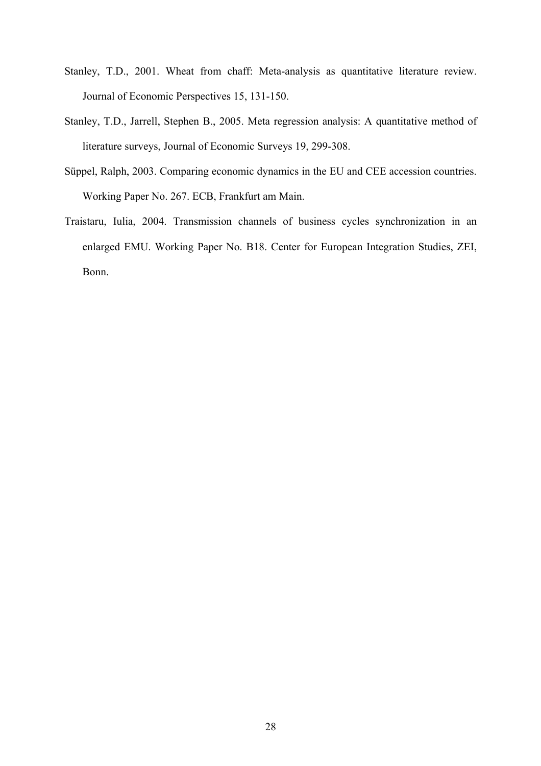- Stanley, T.D., 2001. Wheat from chaff: Meta-analysis as quantitative literature review. Journal of Economic Perspectives 15, 131-150.
- Stanley, T.D., Jarrell, Stephen B., 2005. Meta regression analysis: A quantitative method of literature surveys, Journal of Economic Surveys 19, 299-308.
- Süppel, Ralph, 2003. Comparing economic dynamics in the EU and CEE accession countries. Working Paper No. 267. ECB, Frankfurt am Main.
- Traistaru, Iulia, 2004. Transmission channels of business cycles synchronization in an enlarged EMU. Working Paper No. B18. Center for European Integration Studies, ZEI, Bonn.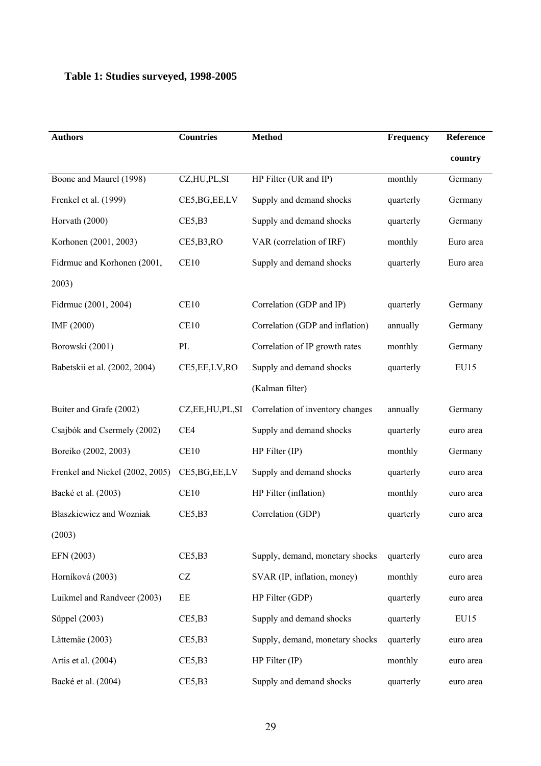# **Table 1: Studies surveyed, 1998-2005**

| <b>Authors</b>                  | <b>Countries</b>       | <b>Method</b>                    | Frequency | Reference |
|---------------------------------|------------------------|----------------------------------|-----------|-----------|
|                                 |                        |                                  |           | country   |
| Boone and Maurel (1998)         | CZ, HU, PL, SI         | HP Filter (UR and IP)            | monthly   | Germany   |
| Frenkel et al. (1999)           | CE5, BG, EE, LV        | Supply and demand shocks         | quarterly | Germany   |
| Horvath (2000)                  | $CE5$ , $B3$           | Supply and demand shocks         | quarterly | Germany   |
| Korhonen (2001, 2003)           | CE5,B3,RO              | VAR (correlation of IRF)         | monthly   | Euro area |
| Fidrmuc and Korhonen (2001,     | CE10                   | Supply and demand shocks         | quarterly | Euro area |
| 2003)                           |                        |                                  |           |           |
| Fidrmuc (2001, 2004)            | <b>CE10</b>            | Correlation (GDP and IP)         | quarterly | Germany   |
| IMF (2000)                      | CE10                   | Correlation (GDP and inflation)  | annually  | Germany   |
| Borowski (2001)                 | $\mathbf{P}\mathbf{L}$ | Correlation of IP growth rates   | monthly   | Germany   |
| Babetskii et al. (2002, 2004)   | CE5, EE, LV, RO        | Supply and demand shocks         | quarterly | EU15      |
|                                 |                        | (Kalman filter)                  |           |           |
| Buiter and Grafe (2002)         | CZ, EE, HU, PL, SI     | Correlation of inventory changes | annually  | Germany   |
| Csajbók and Csermely (2002)     | CE4                    | Supply and demand shocks         | quarterly | euro area |
| Boreiko (2002, 2003)            | <b>CE10</b>            | $HP$ Filter $/IP$                | monthly   | Germany   |
| Frenkel and Nickel (2002, 2005) | CE5, BG, EE, LV        | Supply and demand shocks         | quarterly | euro area |
| Backé et al. (2003)             | <b>CE10</b>            | HP Filter (inflation)            | monthly   | euro area |
| Błaszkiewicz and Wozniak        | $CE5$ , $B3$           | Correlation (GDP)                | quarterly | euro area |
| (2003)                          |                        |                                  |           |           |
| EFN (2003)                      | CE5,B3                 | Supply, demand, monetary shocks  | quarterly | euro area |
| Horníková (2003)                | $\operatorname{CZ}$    | SVAR (IP, inflation, money)      | monthly   | euro area |
| Luikmel and Randveer (2003)     | EE                     | HP Filter (GDP)                  | quarterly | euro area |
| Süppel (2003)                   | CE5,B3                 | Supply and demand shocks         | quarterly | EU15      |
| Lättemäe (2003)                 | CE5,B3                 | Supply, demand, monetary shocks  | quarterly | euro area |
| Artis et al. (2004)             | CE5,B3                 | $HP$ Filter $/IP$                | monthly   | euro area |
| Backé et al. (2004)             | CE5,B3                 | Supply and demand shocks         | quarterly | euro area |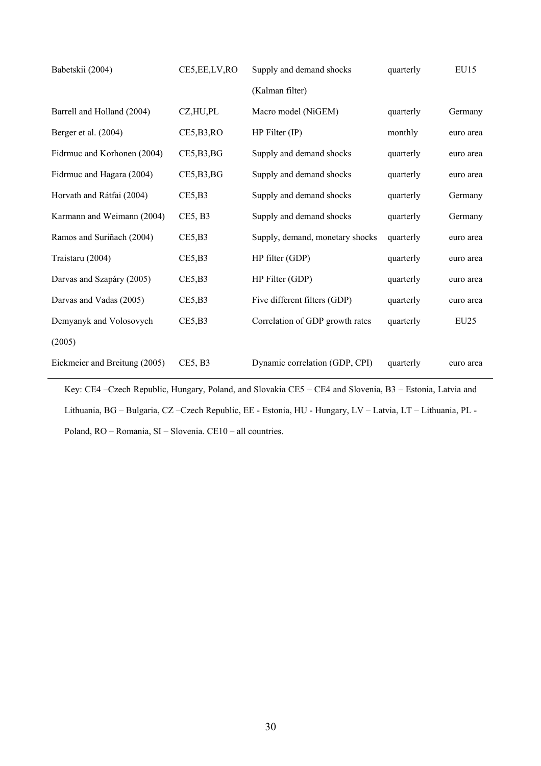| Babetskii (2004)              | CE5, EE, LV, RO        | Supply and demand shocks        | quarterly | EU15             |
|-------------------------------|------------------------|---------------------------------|-----------|------------------|
|                               |                        | (Kalman filter)                 |           |                  |
| Barrell and Holland (2004)    | CZ, HU, PL             | Macro model (NiGEM)             | quarterly | Germany          |
| Berger et al. (2004)          | $CE5$ , $B3$ , $RO$    | $HP$ Filter $/IP$               | monthly   | euro area        |
| Fidrmuc and Korhonen (2004)   | CE5,B3,BG              | Supply and demand shocks        | quarterly | euro area        |
| Fidrmuc and Hagara (2004)     | $CE5$ , $B3$ , $BG$    | Supply and demand shocks        | quarterly | euro area        |
| Horvath and Rátfai (2004)     | CE5,B3                 | Supply and demand shocks        | quarterly | Germany          |
| Karmann and Weimann (2004)    | $CE5$ , B <sub>3</sub> | Supply and demand shocks        | quarterly | Germany          |
| Ramos and Suriñach (2004)     | $CE5$ , $B3$           | Supply, demand, monetary shocks | quarterly | euro area        |
| Traistaru (2004)              | CE5,B3                 | HP filter (GDP)                 | quarterly | euro area        |
| Darvas and Szapáry (2005)     | CE5,B3                 | HP Filter (GDP)                 | quarterly | euro area        |
| Darvas and Vadas (2005)       | CE5,B3                 | Five different filters (GDP)    | quarterly | euro area        |
| Demyanyk and Volosovych       | CE5,B3                 | Correlation of GDP growth rates | quarterly | EU <sub>25</sub> |
| (2005)                        |                        |                                 |           |                  |
| Eickmeier and Breitung (2005) | $CE5$ , B3             | Dynamic correlation (GDP, CPI)  | quarterly | euro area        |

Key: CE4 –Czech Republic, Hungary, Poland, and Slovakia CE5 – CE4 and Slovenia, B3 – Estonia, Latvia and Lithuania, BG – Bulgaria, CZ –Czech Republic, EE - Estonia, HU - Hungary, LV – Latvia, LT – Lithuania, PL - Poland, RO – Romania, SI – Slovenia. CE10 – all countries.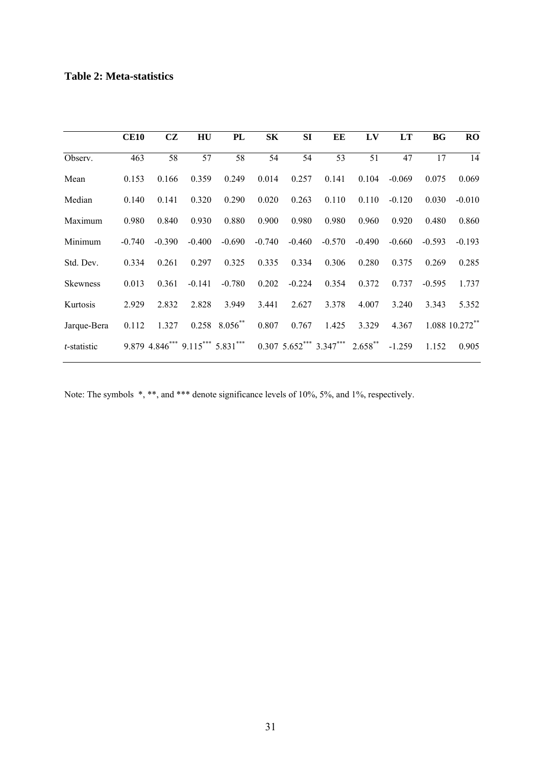## **Table 2: Meta-statistics**

|                 | <b>CE10</b> | <b>CZ</b> | H <sub>U</sub> | PL                                                       | S <sub>K</sub> | <b>SI</b> | EE       | LV         | LT       | BG       | RO                             |
|-----------------|-------------|-----------|----------------|----------------------------------------------------------|----------------|-----------|----------|------------|----------|----------|--------------------------------|
| Observ.         | 463         | 58        | 57             | 58                                                       | 54             | 54        | 53       | 51         | 47       | 17       | 14                             |
| Mean            | 0.153       | 0.166     | 0.359          | 0.249                                                    | 0.014          | 0.257     | 0.141    | 0.104      | $-0.069$ | 0.075    | 0.069                          |
| Median          | 0.140       | 0.141     | 0.320          | 0.290                                                    | 0.020          | 0.263     | 0.110    | 0.110      | $-0.120$ | 0.030    | $-0.010$                       |
| Maximum         | 0.980       | 0.840     | 0.930          | 0.880                                                    | 0.900          | 0.980     | 0.980    | 0.960      | 0.920    | 0.480    | 0.860                          |
| Minimum         | $-0.740$    | $-0.390$  | $-0.400$       | $-0.690$                                                 | $-0.740$       | $-0.460$  | $-0.570$ | $-0.490$   | $-0.660$ | $-0.593$ | $-0.193$                       |
| Std. Dev.       | 0.334       | 0.261     | 0.297          | 0.325                                                    | 0.335          | 0.334     | 0.306    | 0.280      | 0.375    | 0.269    | 0.285                          |
| <b>Skewness</b> | 0.013       | 0.361     | $-0.141$       | $-0.780$                                                 | 0.202          | $-0.224$  | 0.354    | 0.372      | 0.737    | $-0.595$ | 1.737                          |
| Kurtosis        | 2.929       | 2.832     | 2.828          | 3.949                                                    | 3.441          | 2.627     | 3.378    | 4.007      | 3.240    | 3.343    | 5.352                          |
| Jarque-Bera     | 0.112       | 1.327     |                | $0.258$ $8.056^{**}$                                     | 0.807          | 0.767     | 1.425    | 3.329      | 4.367    |          | $1.088$ $10.272$ <sup>**</sup> |
| t-statistic     |             |           |                | 9.879 4.846*** 9.115*** 5.831*** 0.307 5.652*** 3.347*** |                |           |          | $2.658***$ | $-1.259$ | 1.152    | 0.905                          |

Note: The symbols  $*, **$ , and  $***$  denote significance levels of 10%, 5%, and 1%, respectively.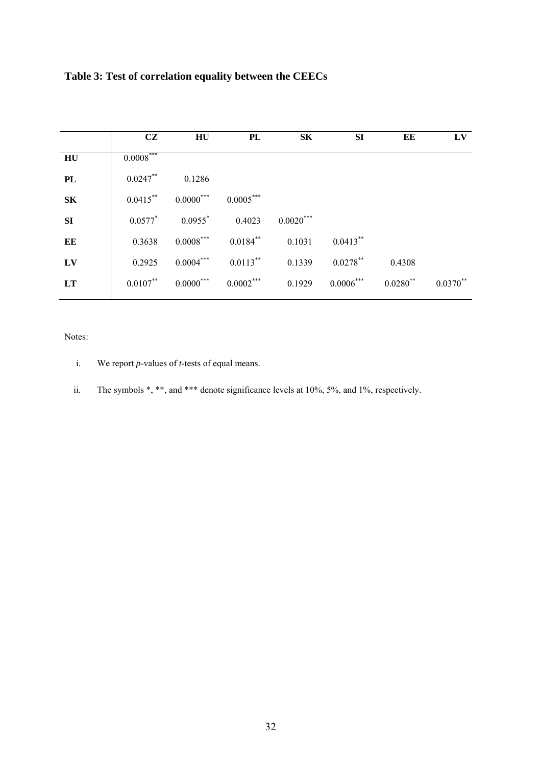## **Table 3: Test of correlation equality between the CEECs**

|                  | CZ          | HU                             | PL                       | <b>SK</b>   | SI           | ЕE            | LV <sub></sub> |
|------------------|-------------|--------------------------------|--------------------------|-------------|--------------|---------------|----------------|
| HU               | $0.0008***$ |                                |                          |             |              |               |                |
| PL               | $0.0247***$ | 0.1286                         |                          |             |              |               |                |
| ${\bf S}{\bf K}$ |             | $0.0415$ ** $0.0000$ ***       | $0.0005***$              |             |              |               |                |
| SI               |             | $0.0577^*$ $0.0955^*$ $0.4023$ |                          | $0.0020***$ |              |               |                |
| EE               | 0.3638      |                                | $0.0008$ *** $0.0184$ ** | 0.1031      | $0.0413***$  |               |                |
| LV               | 0.2925      |                                | $0.0004$ *** $0.0113$ ** | 0.1339      | $0.0278***$  | 0.4308        |                |
| LT               | $0.0107***$ | $0.0000^{***}$                 | $0.0002***$              | 0.1929      | $0.0006$ *** | $0.0280^{**}$ | $0.0370***$    |

Notes:

- i. We report *p*-values of *t*-tests of equal means.
- ii. The symbols \*, \*\*, and \*\*\* denote significance levels at 10%, 5%, and 1%, respectively.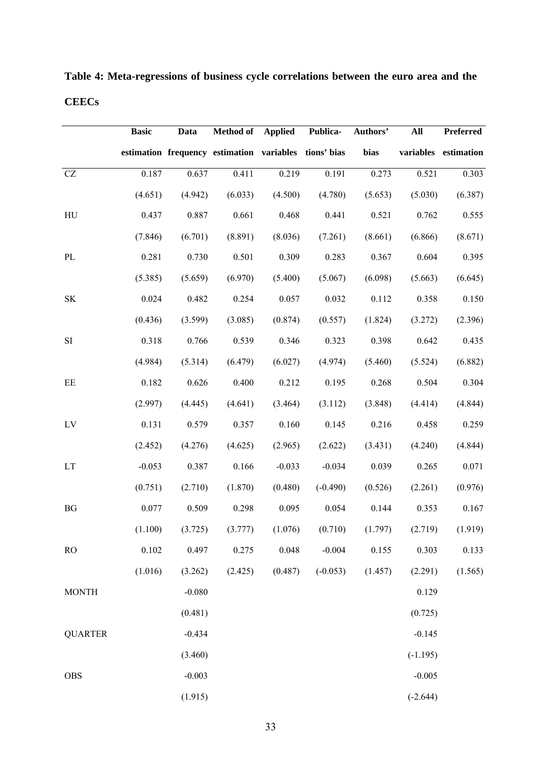|                        | <b>Basic</b> | Data     | Method of                                             | <b>Applied</b> | Publica-   | Authors' | All        | <b>Preferred</b> |
|------------------------|--------------|----------|-------------------------------------------------------|----------------|------------|----------|------------|------------------|
|                        |              |          | estimation frequency estimation variables tions' bias |                |            | bias     | variables  | estimation       |
| $\operatorname{CZ}$    | 0.187        | 0.637    | 0.411                                                 | 0.219          | 0.191      | 0.273    | 0.521      | 0.303            |
|                        | (4.651)      | (4.942)  | (6.033)                                               | (4.500)        | (4.780)    | (5.653)  | (5.030)    | (6.387)          |
| HU                     | 0.437        | 0.887    | 0.661                                                 | 0.468          | 0.441      | 0.521    | 0.762      | 0.555            |
|                        | (7.846)      | (6.701)  | (8.891)                                               | (8.036)        | (7.261)    | (8.661)  | (6.866)    | (8.671)          |
| PL                     | 0.281        | 0.730    | 0.501                                                 | 0.309          | 0.283      | 0.367    | 0.604      | 0.395            |
|                        | (5.385)      | (5.659)  | (6.970)                                               | (5.400)        | (5.067)    | (6.098)  | (5.663)    | (6.645)          |
| <b>SK</b>              | 0.024        | 0.482    | 0.254                                                 | 0.057          | 0.032      | 0.112    | 0.358      | 0.150            |
|                        | (0.436)      | (3.599)  | (3.085)                                               | (0.874)        | (0.557)    | (1.824)  | (3.272)    | (2.396)          |
| $\rm SI$               | 0.318        | 0.766    | 0.539                                                 | 0.346          | 0.323      | 0.398    | 0.642      | 0.435            |
|                        | (4.984)      | (5.314)  | (6.479)                                               | (6.027)        | (4.974)    | (5.460)  | (5.524)    | (6.882)          |
| EE                     | 0.182        | 0.626    | 0.400                                                 | 0.212          | 0.195      | 0.268    | 0.504      | 0.304            |
|                        | (2.997)      | (4.445)  | (4.641)                                               | (3.464)        | (3.112)    | (3.848)  | (4.414)    | (4.844)          |
| $\mathbf{L}\mathbf{V}$ | 0.131        | 0.579    | 0.357                                                 | 0.160          | 0.145      | 0.216    | 0.458      | 0.259            |
|                        | (2.452)      | (4.276)  | (4.625)                                               | (2.965)        | (2.622)    | (3.431)  | (4.240)    | (4.844)          |
| LT                     | $-0.053$     | 0.387    | 0.166                                                 | $-0.033$       | $-0.034$   | 0.039    | 0.265      | 0.071            |
|                        | (0.751)      | (2.710)  | (1.870)                                               | (0.480)        | $(-0.490)$ | (0.526)  | (2.261)    | (0.976)          |
| <b>BG</b>              | 0.077        | 0.509    | 0.298                                                 | 0.095          | 0.054      | 0.144    | 0.353      | 0.167            |
|                        | (1.100)      | (3.725)  | (3.777)                                               | (1.076)        | (0.710)    | (1.797)  | (2.719)    | (1.919)          |
| RO                     | 0.102        | 0.497    | 0.275                                                 | 0.048          | $-0.004$   | 0.155    | 0.303      | 0.133            |
|                        | (1.016)      | (3.262)  | (2.425)                                               | (0.487)        | $(-0.053)$ | (1.457)  | (2.291)    | (1.565)          |
| <b>MONTH</b>           |              | $-0.080$ |                                                       |                |            |          | 0.129      |                  |
|                        |              | (0.481)  |                                                       |                |            |          | (0.725)    |                  |
| <b>QUARTER</b>         |              | $-0.434$ |                                                       |                |            |          | $-0.145$   |                  |
|                        |              | (3.460)  |                                                       |                |            |          | $(-1.195)$ |                  |
| <b>OBS</b>             |              | $-0.003$ |                                                       |                |            |          | $-0.005$   |                  |
|                        |              | (1.915)  |                                                       |                |            |          | $(-2.644)$ |                  |

**Table 4: Meta-regressions of business cycle correlations between the euro area and the CEECs**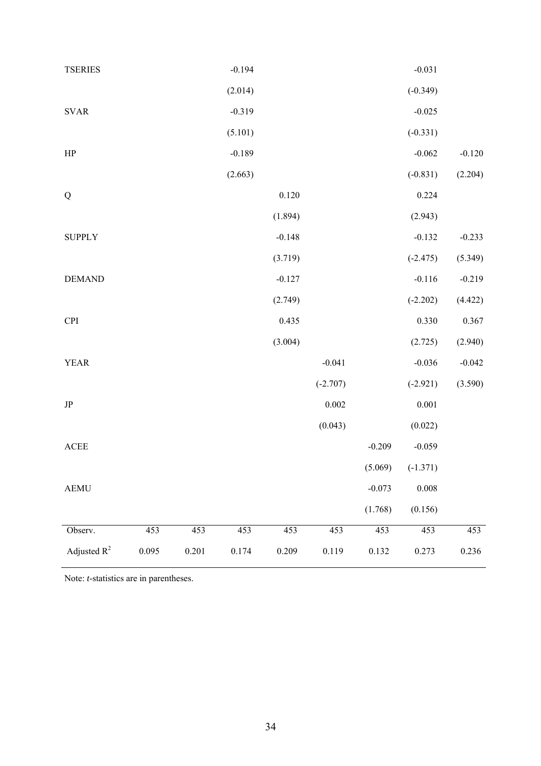| <b>TSERIES</b>        |       |       | $-0.194$ |          |            |          | $-0.031$   |          |
|-----------------------|-------|-------|----------|----------|------------|----------|------------|----------|
|                       |       |       | (2.014)  |          |            |          | $(-0.349)$ |          |
| <b>SVAR</b>           |       |       | $-0.319$ |          |            |          | $-0.025$   |          |
|                       |       |       | (5.101)  |          |            |          | $(-0.331)$ |          |
| HP                    |       |       | $-0.189$ |          |            |          | $-0.062$   | $-0.120$ |
|                       |       |       | (2.663)  |          |            |          | $(-0.831)$ | (2.204)  |
| ${\bf Q}$             |       |       |          | 0.120    |            |          | 0.224      |          |
|                       |       |       |          | (1.894)  |            |          | (2.943)    |          |
| <b>SUPPLY</b>         |       |       |          | $-0.148$ |            |          | $-0.132$   | $-0.233$ |
|                       |       |       |          | (3.719)  |            |          | $(-2.475)$ | (5.349)  |
| <b>DEMAND</b>         |       |       |          | $-0.127$ |            |          | $-0.116$   | $-0.219$ |
|                       |       |       |          | (2.749)  |            |          | $(-2.202)$ | (4.422)  |
| CPI                   |       |       |          | 0.435    |            |          | 0.330      | 0.367    |
|                       |       |       |          | (3.004)  |            |          | (2.725)    | (2.940)  |
| <b>YEAR</b>           |       |       |          |          | $-0.041$   |          | $-0.036$   | $-0.042$ |
|                       |       |       |          |          | $(-2.707)$ |          | $(-2.921)$ | (3.590)  |
| $\rm{JP}$             |       |       |          |          | 0.002      |          | 0.001      |          |
|                       |       |       |          |          | (0.043)    |          | (0.022)    |          |
| $\operatorname{ACEE}$ |       |       |          |          |            | $-0.209$ | $-0.059$   |          |
|                       |       |       |          |          |            | (5.069)  | $(-1.371)$ |          |
| <b>AEMU</b>           |       |       |          |          |            | $-0.073$ | 0.008      |          |
|                       |       |       |          |          |            | (1.768)  | (0.156)    |          |
| Observ.               | 453   | 453   | 453      | 453      | 453        | 453      | 453        | 453      |
| Adjusted $R^2$        | 0.095 | 0.201 | 0.174    | 0.209    | 0.119      | 0.132    | 0.273      | 0.236    |

Note: *t*-statistics are in parentheses.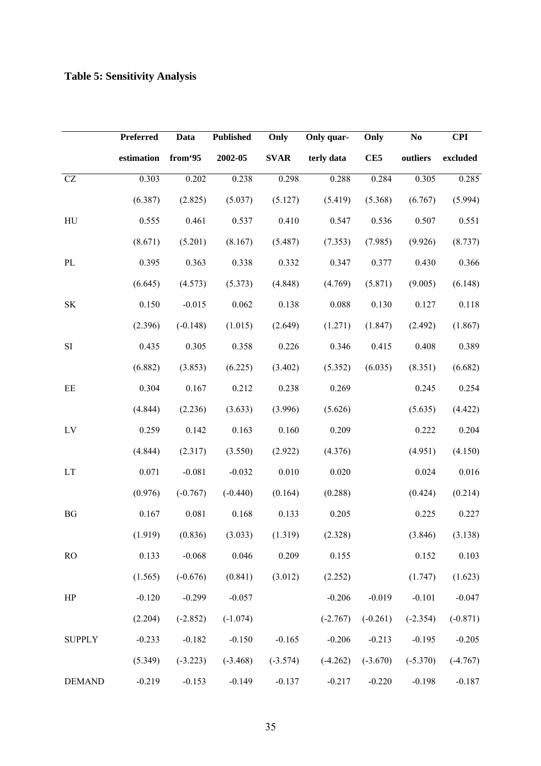## **Table 5: Sensitivity Analysis**

|                            | Preferred  | Data       | <b>Published</b> | Only        | Only quar- | Only       | $\bf No$   | <b>CPI</b> |
|----------------------------|------------|------------|------------------|-------------|------------|------------|------------|------------|
|                            | estimation | from 95    | 2002-05          | <b>SVAR</b> | terly data | CE5        | outliers   | excluded   |
| CZ                         | 0.303      | 0.202      | 0.238            | 0.298       | 0.288      | 0.284      | 0.305      | 0.285      |
|                            | (6.387)    | (2.825)    | (5.037)          | (5.127)     | (5.419)    | (5.368)    | (6.767)    | (5.994)    |
| HU                         | 0.555      | 0.461      | 0.537            | 0.410       | 0.547      | 0.536      | 0.507      | 0.551      |
|                            | (8.671)    | (5.201)    | (8.167)          | (5.487)     | (7.353)    | (7.985)    | (9.926)    | (8.737)    |
| $\mathbf{P}\mathbf{L}$     | 0.395      | 0.363      | 0.338            | 0.332       | 0.347      | 0.377      | 0.430      | 0.366      |
|                            | (6.645)    | (4.573)    | (5.373)          | (4.848)     | (4.769)    | (5.871)    | (9.005)    | (6.148)    |
| $\rm SK$                   | 0.150      | $-0.015$   | 0.062            | 0.138       | 0.088      | 0.130      | 0.127      | 0.118      |
|                            | (2.396)    | $(-0.148)$ | (1.015)          | (2.649)     | (1.271)    | (1.847)    | (2.492)    | (1.867)    |
| $\rm SI$                   | 0.435      | 0.305      | 0.358            | 0.226       | 0.346      | 0.415      | 0.408      | 0.389      |
|                            | (6.882)    | (3.853)    | (6.225)          | (3.402)     | (5.352)    | (6.035)    | (8.351)    | (6.682)    |
| $\rm EE$                   | 0.304      | 0.167      | 0.212            | 0.238       | 0.269      |            | 0.245      | 0.254      |
|                            | (4.844)    | (2.236)    | (3.633)          | (3.996)     | (5.626)    |            | (5.635)    | (4.422)    |
| $\rm LV$                   | 0.259      | 0.142      | 0.163            | 0.160       | 0.209      |            | 0.222      | 0.204      |
|                            | (4.844)    | (2.317)    | (3.550)          | (2.922)     | (4.376)    |            | (4.951)    | (4.150)    |
| $\mathop{\rm LT}\nolimits$ | 0.071      | $-0.081$   | $-0.032$         | 0.010       | 0.020      |            | 0.024      | 0.016      |
|                            | (0.976)    | $(-0.767)$ | $(-0.440)$       | (0.164)     | (0.288)    |            | (0.424)    | (0.214)    |
| <b>BG</b>                  | 0.167      | 0.081      | 0.168            | 0.133       | 0.205      |            | 0.225      | 0.227      |
|                            | (1.919)    | (0.836)    | (3.033)          | (1.319)     | (2.328)    |            | (3.846)    | (3.138)    |
| RO                         | 0.133      | $-0.068$   | 0.046            | 0.209       | 0.155      |            | 0.152      | 0.103      |
|                            | (1.565)    | $(-0.676)$ | (0.841)          | (3.012)     | (2.252)    |            | (1.747)    | (1.623)    |
| HP                         | $-0.120$   | $-0.299$   | $-0.057$         |             | $-0.206$   | $-0.019$   | $-0.101$   | $-0.047$   |
|                            | (2.204)    | $(-2.852)$ | $(-1.074)$       |             | $(-2.767)$ | $(-0.261)$ | $(-2.354)$ | $(-0.871)$ |
| <b>SUPPLY</b>              | $-0.233$   | $-0.182$   | $-0.150$         | $-0.165$    | $-0.206$   | $-0.213$   | $-0.195$   | $-0.205$   |
|                            | (5.349)    | $(-3.223)$ | $(-3.468)$       | $(-3.574)$  | $(-4.262)$ | $(-3.670)$ | $(-5.370)$ | $(-4.767)$ |
| <b>DEMAND</b>              | $-0.219$   | $-0.153$   | $-0.149$         | $-0.137$    | $-0.217$   | $-0.220$   | $-0.198$   | $-0.187$   |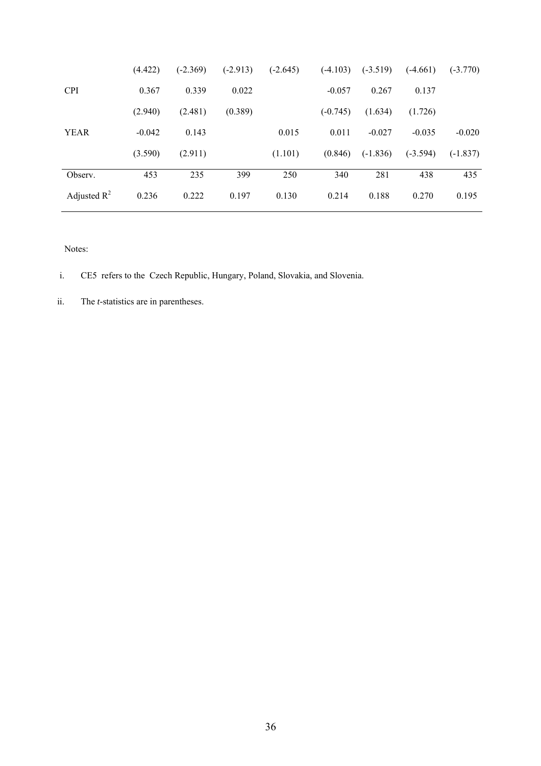|                         | (4.422)  | $(-2.369)$ | $(-2.913)$ | $(-2.645)$ | $(-4.103)$ | $(-3.519)$ | $(-4.661)$ | $(-3.770)$ |
|-------------------------|----------|------------|------------|------------|------------|------------|------------|------------|
| <b>CPI</b>              | 0.367    | 0.339      | 0.022      |            | $-0.057$   | 0.267      | 0.137      |            |
|                         | (2.940)  | (2.481)    | (0.389)    |            | $(-0.745)$ | (1.634)    | (1.726)    |            |
| <b>YEAR</b>             | $-0.042$ | 0.143      |            | 0.015      | 0.011      | $-0.027$   | $-0.035$   | $-0.020$   |
|                         | (3.590)  | (2.911)    |            | (1.101)    | (0.846)    | $(-1.836)$ | $(-3.594)$ | $(-1.837)$ |
| Observ.                 | 453      | 235        | 399        | 250        | 340        | 281        | 438        | 435        |
| Adjusted $\mathbb{R}^2$ | 0.236    | 0.222      | 0.197      | 0.130      | 0.214      | 0.188      | 0.270      | 0.195      |

Notes:

- i. CE5 refers to the Czech Republic, Hungary, Poland, Slovakia, and Slovenia.
- ii. The *t*-statistics are in parentheses.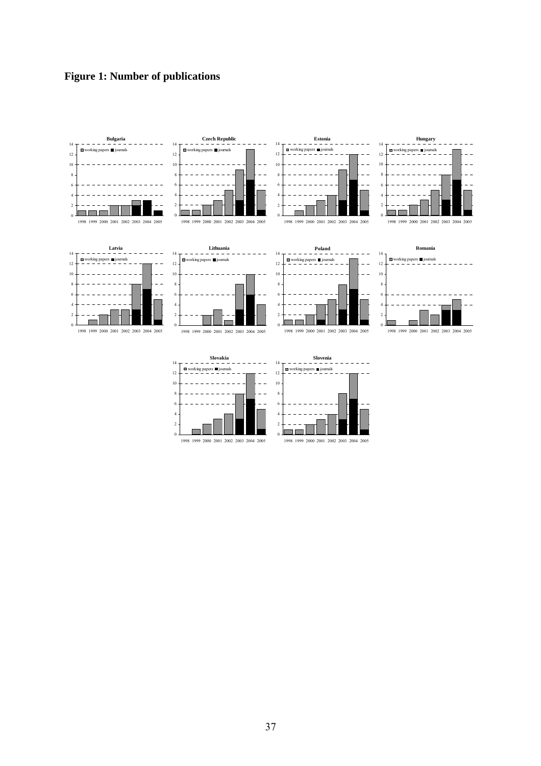## **Figure 1: Number of publications**



1998 1999 2000 2001 2002 2003 2004 2005









**Lithuania**  $\blacksquare$  working paper  $\overline{a}$  

1998 1999 2000 2001 2002 2003 2004 2005



1998 1999 2000 2001 2002 2003 2004 2005





1998 1999 2000 2001 2002 2003 2004 2005



1998 1999 2000 2001 2002 2003 2004 2005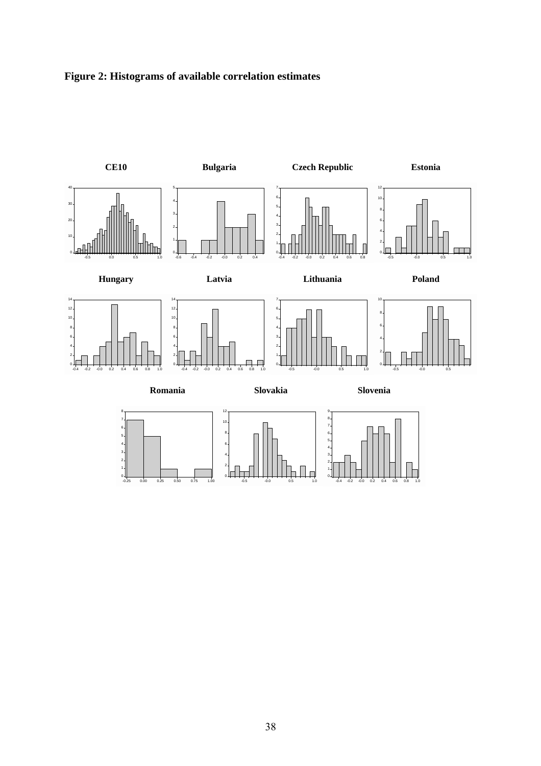

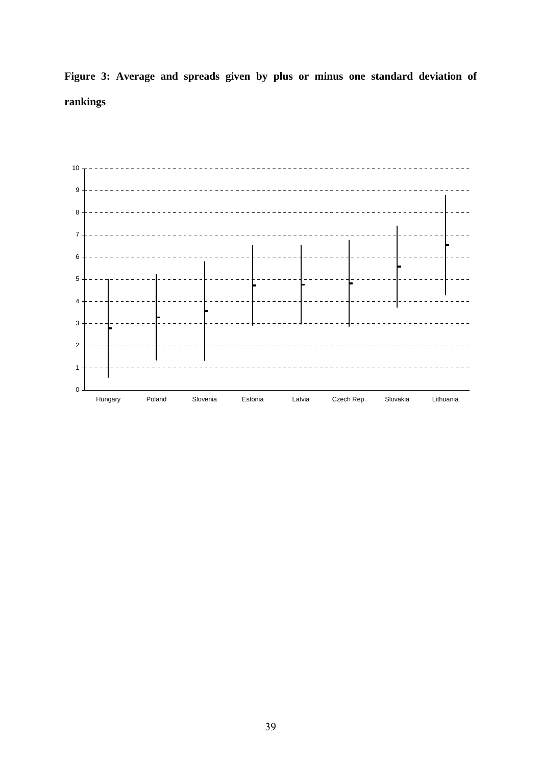**Figure 3: Average and spreads given by plus or minus one standard deviation of rankings** 

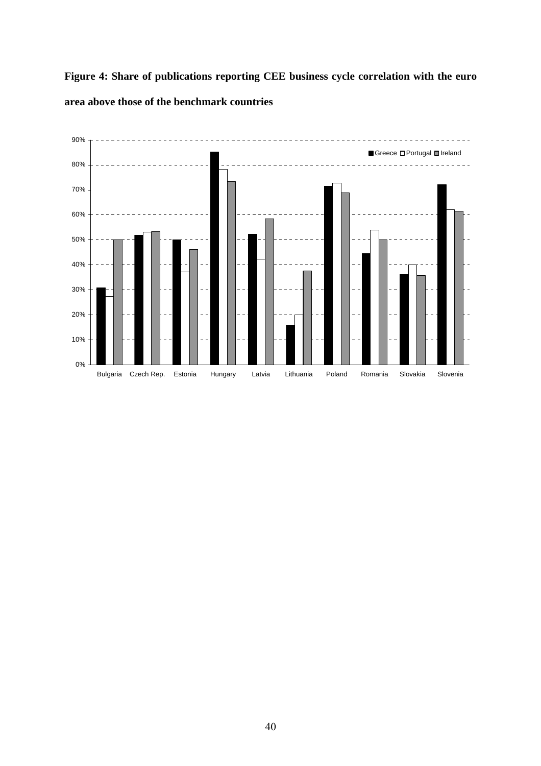

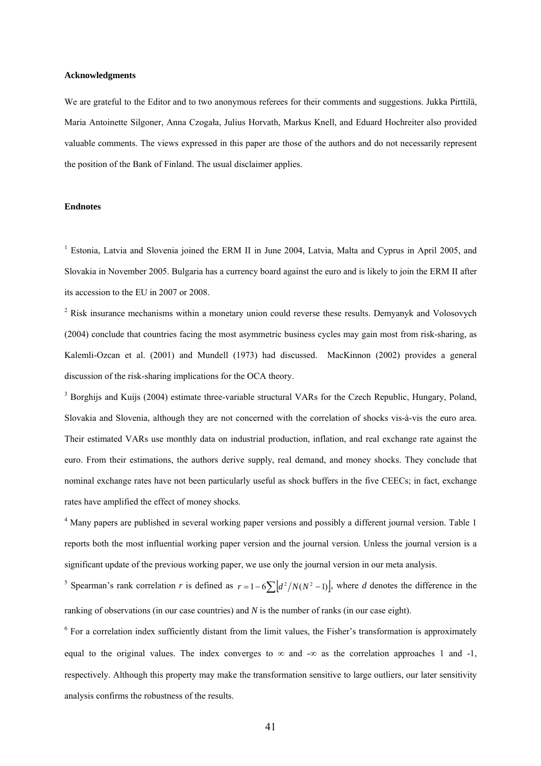#### **Acknowledgments**

We are grateful to the Editor and to two anonymous referees for their comments and suggestions. Jukka Pirttilä, Maria Antoinette Silgoner, Anna Czogała, Julius Horvath, Markus Knell, and Eduard Hochreiter also provided valuable comments. The views expressed in this paper are those of the authors and do not necessarily represent the position of the Bank of Finland. The usual disclaimer applies.

#### **Endnotes**

<sup>1</sup> Estonia, Latvia and Slovenia joined the ERM II in June 2004, Latvia, Malta and Cyprus in April 2005, and Slovakia in November 2005. Bulgaria has a currency board against the euro and is likely to join the ERM II after its accession to the EU in 2007 or 2008.

 $2$  Risk insurance mechanisms within a monetary union could reverse these results. Demyanyk and Volosovych (2004) conclude that countries facing the most asymmetric business cycles may gain most from risk-sharing, as Kalemli-Ozcan et al. (2001) and Mundell (1973) had discussed. MacKinnon (2002) provides a general discussion of the risk-sharing implications for the OCA theory.

<sup>3</sup> Borghijs and Kuijs (2004) estimate three-variable structural VARs for the Czech Republic, Hungary, Poland, Slovakia and Slovenia, although they are not concerned with the correlation of shocks vis-à-vis the euro area. Their estimated VARs use monthly data on industrial production, inflation, and real exchange rate against the euro. From their estimations, the authors derive supply, real demand, and money shocks. They conclude that nominal exchange rates have not been particularly useful as shock buffers in the five CEECs; in fact, exchange rates have amplified the effect of money shocks.

<sup>4</sup> Many papers are published in several working paper versions and possibly a different journal version. Table 1 reports both the most influential working paper version and the journal version. Unless the journal version is a significant update of the previous working paper, we use only the journal version in our meta analysis.

<sup>5</sup> Spearman's rank correlation *r* is defined as  $r = 1 - 6\sum [d^2/N(N^2 - 1)]$ , where *d* denotes the difference in the ranking of observations (in our case countries) and *N* is the number of ranks (in our case eight).

<sup>6</sup> For a correlation index sufficiently distant from the limit values, the Fisher's transformation is approximately equal to the original values. The index converges to  $\infty$  and  $-\infty$  as the correlation approaches 1 and -1, respectively. Although this property may make the transformation sensitive to large outliers, our later sensitivity analysis confirms the robustness of the results.